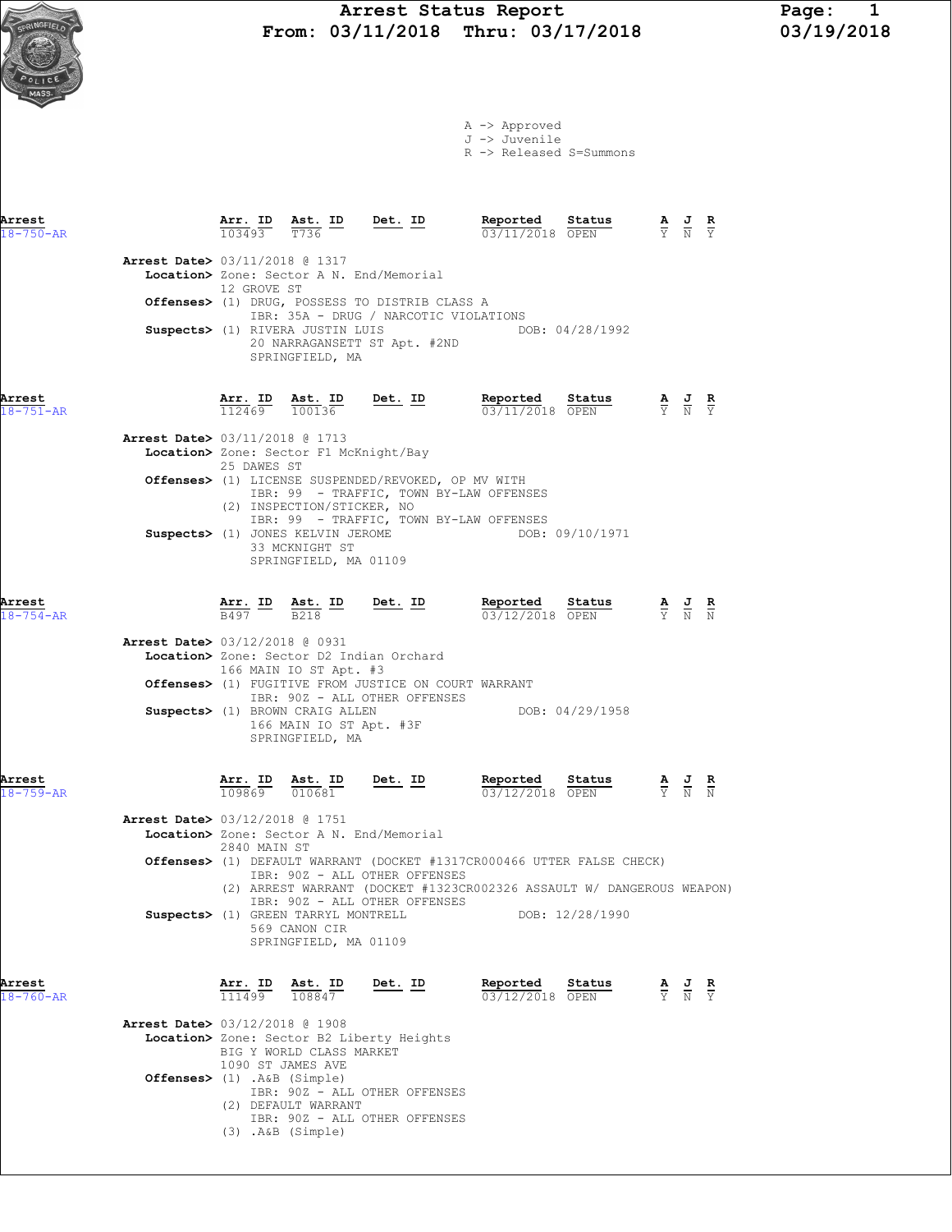A -> Approved J -> Juvenile

R -> Released S=Summons

| Arrest<br>$18 - 750 - AR$ |                                          |                          |                                                                               |                                                                                                 | <b>Arr. ID</b> Ast. ID Det. ID Reported Status A J R<br>103493 T736 $\frac{1}{2}$ Det. ID Reported Status A J R                                                                                                                                                                                                  |                 |                                                                                                 |                                                                                                 |  |
|---------------------------|------------------------------------------|--------------------------|-------------------------------------------------------------------------------|-------------------------------------------------------------------------------------------------|------------------------------------------------------------------------------------------------------------------------------------------------------------------------------------------------------------------------------------------------------------------------------------------------------------------|-----------------|-------------------------------------------------------------------------------------------------|-------------------------------------------------------------------------------------------------|--|
|                           | <b>Arrest Date&gt; 03/11/2018 @ 1317</b> |                          |                                                                               |                                                                                                 |                                                                                                                                                                                                                                                                                                                  |                 |                                                                                                 |                                                                                                 |  |
|                           |                                          | 12 GROVE ST              |                                                                               | Location> Zone: Sector A N. End/Memorial                                                        |                                                                                                                                                                                                                                                                                                                  |                 |                                                                                                 |                                                                                                 |  |
|                           |                                          |                          |                                                                               | Offenses> (1) DRUG, POSSESS TO DISTRIB CLASS A<br>IBR: 35A - DRUG / NARCOTIC VIOLATIONS         |                                                                                                                                                                                                                                                                                                                  |                 |                                                                                                 |                                                                                                 |  |
|                           |                                          |                          | SPRINGFIELD, MA                                                               | 20 NARRAGANSETT ST Apt. #2ND                                                                    | Suspects> (1) RIVERA JUSTIN LUIS THE DOB: 04/28/1992                                                                                                                                                                                                                                                             |                 |                                                                                                 |                                                                                                 |  |
| Arrest<br>$18 - 751 - AR$ |                                          |                          |                                                                               |                                                                                                 | $\frac{\texttt{Arr. ID}}{112469}$ $\frac{\texttt{ Ast. ID}}{100136}$ $\frac{\texttt{Det. ID}}{23/11/2018}$ $\frac{\texttt{Reported}}{\texttt{OFEN}}$                                                                                                                                                             |                 | $\frac{\mathbf{A}}{\mathbf{Y}}$ $\frac{\mathbf{J}}{\mathbf{N}}$ $\frac{\mathbf{R}}{\mathbf{Y}}$ |                                                                                                 |  |
|                           | Arrest Date> 03/11/2018 @ 1713           |                          | Location> Zone: Sector F1 McKnight/Bay                                        |                                                                                                 |                                                                                                                                                                                                                                                                                                                  |                 |                                                                                                 |                                                                                                 |  |
|                           |                                          | 25 DAWES ST              |                                                                               | Offenses> (1) LICENSE SUSPENDED/REVOKED, OP MV WITH                                             |                                                                                                                                                                                                                                                                                                                  |                 |                                                                                                 |                                                                                                 |  |
|                           |                                          |                          | (2) INSPECTION/STICKER, NO                                                    |                                                                                                 | IBR: 99 - TRAFFIC, TOWN BY-LAW OFFENSES<br>IBR: 99 - TRAFFIC, TOWN BY-LAW OFFENSES                                                                                                                                                                                                                               |                 |                                                                                                 |                                                                                                 |  |
|                           |                                          |                          | Suspects> (1) JONES KELVIN JEROME<br>33 MCKNIGHT ST<br>SPRINGFIELD, MA 01109  |                                                                                                 |                                                                                                                                                                                                                                                                                                                  | DOB: 09/10/1971 |                                                                                                 |                                                                                                 |  |
| Arrest<br>$18 - 754 - AR$ |                                          |                          |                                                                               |                                                                                                 | <b>Arr. ID</b> Ast. ID Det. ID Reported Status A J R<br>$\frac{1}{B497}$ $\frac{1}{B218}$ $\frac{1}{B218}$ $\frac{1}{B218}$ $\frac{1}{B218}$ $\frac{1}{B218}$ $\frac{1}{B218}$ $\frac{1}{B218}$ $\frac{1}{B218}$ $\frac{1}{B218}$ $\frac{1}{B218}$ $\frac{1}{B218}$ $\frac{1}{B218}$ $\frac{$<br>03/12/2018 OPEN |                 |                                                                                                 |                                                                                                 |  |
|                           | Arrest Date> 03/12/2018 @ 0931           |                          | 166 MAIN IO ST Apt. #3                                                        | Location> Zone: Sector D2 Indian Orchard                                                        |                                                                                                                                                                                                                                                                                                                  |                 |                                                                                                 |                                                                                                 |  |
|                           |                                          |                          |                                                                               | <b>Offenses&gt;</b> (1) FUGITIVE FROM JUSTICE ON COURT WARRANT<br>IBR: 90Z - ALL OTHER OFFENSES |                                                                                                                                                                                                                                                                                                                  |                 |                                                                                                 |                                                                                                 |  |
|                           |                                          |                          | Suspects> (1) BROWN CRAIG ALLEN<br>166 MAIN IO ST Apt. #3F<br>SPRINGFIELD, MA |                                                                                                 | DOB: 04/29/1958                                                                                                                                                                                                                                                                                                  |                 |                                                                                                 |                                                                                                 |  |
| Arrest<br>$18 - 759 - AR$ |                                          |                          | $\frac{\texttt{Arr.}}{109869}$ $\frac{\texttt{ Ast.}}{010681}$ Det. ID        |                                                                                                 | <b>Reported Status A J R</b><br>03/12/2018 OPEN Y N N<br>03/12/2018 OPEN                                                                                                                                                                                                                                         |                 |                                                                                                 |                                                                                                 |  |
|                           | <b>Arrest Date&gt;</b> 03/12/2018 @ 1751 | 2840 MAIN ST             |                                                                               | Location> Zone: Sector A N. End/Memorial                                                        |                                                                                                                                                                                                                                                                                                                  |                 |                                                                                                 |                                                                                                 |  |
|                           |                                          |                          |                                                                               | IBR: 90Z - ALL OTHER OFFENSES                                                                   | <b>Offenses&gt;</b> (1) DEFAULT WARRANT (DOCKET #1317CR000466 UTTER FALSE CHECK)<br>(2) ARREST WARRANT (DOCKET #1323CR002326 ASSAULT W/ DANGEROUS WEAPON)                                                                                                                                                        |                 |                                                                                                 |                                                                                                 |  |
|                           |                                          |                          | Suspects> (1) GREEN TARRYL MONTRELL                                           | IBR: 90Z - ALL OTHER OFFENSES                                                                   |                                                                                                                                                                                                                                                                                                                  | DOB: 12/28/1990 |                                                                                                 |                                                                                                 |  |
|                           |                                          |                          | 569 CANON CIR<br>SPRINGFIELD, MA 01109                                        |                                                                                                 |                                                                                                                                                                                                                                                                                                                  |                 |                                                                                                 |                                                                                                 |  |
| Arrest<br>$18 - 760 - AR$ |                                          | <b>Arr. ID</b><br>111499 | Ast. ID<br>108847                                                             | Det. ID                                                                                         | Reported<br>03/12/2018 OPEN                                                                                                                                                                                                                                                                                      | Status          |                                                                                                 | $\frac{\mathbf{A}}{\mathbf{Y}}$ $\frac{\mathbf{J}}{\mathbf{N}}$ $\frac{\mathbf{R}}{\mathbf{Y}}$ |  |
|                           | <b>Arrest Date&gt;</b> 03/12/2018 @ 1908 | 1090 ST JAMES AVE        | BIG Y WORLD CLASS MARKET                                                      | Location> Zone: Sector B2 Liberty Heights                                                       |                                                                                                                                                                                                                                                                                                                  |                 |                                                                                                 |                                                                                                 |  |

 IBR: 90Z - ALL OTHER OFFENSES (3) .A&B (Simple)

(2) DEFAULT WARRANT

IBR: 90Z - ALL OTHER OFFENSES

Offenses> (1) .A&B (Simple)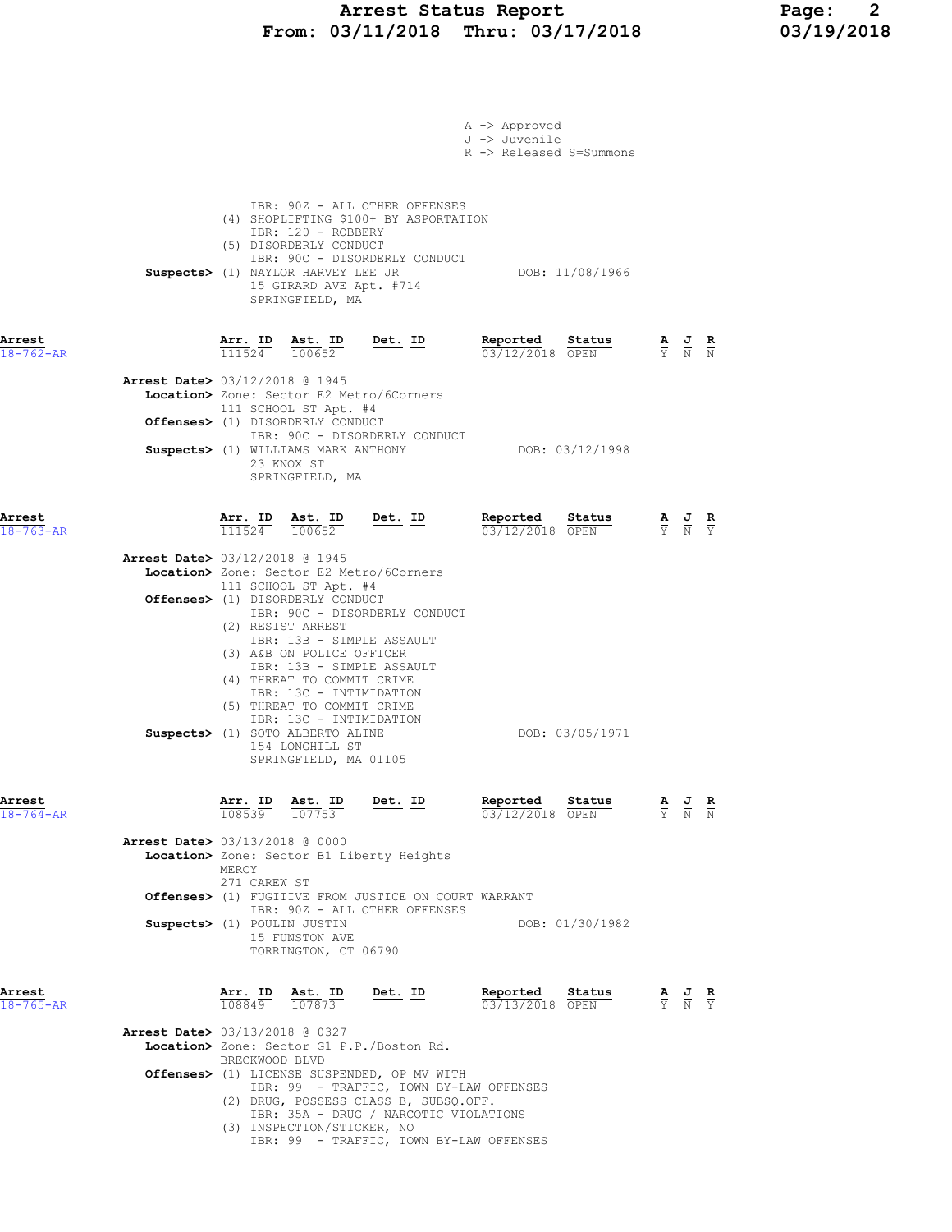### Arrest Status Report Page: 2 From: 03/11/2018 Thru: 03/17/2018 03/19/2018

|                           |                                                                                                                                                                                                                                                                                               | A -> Approved<br>J -> Juvenile<br>R -> Released S=Summons |                                                                                                       |
|---------------------------|-----------------------------------------------------------------------------------------------------------------------------------------------------------------------------------------------------------------------------------------------------------------------------------------------|-----------------------------------------------------------|-------------------------------------------------------------------------------------------------------|
|                           | IBR: 90Z - ALL OTHER OFFENSES<br>(4) SHOPLIFTING \$100+ BY ASPORTATION<br>IBR: 120 - ROBBERY<br>(5) DISORDERLY CONDUCT<br>IBR: 90C - DISORDERLY CONDUCT<br>Suspects> (1) NAYLOR HARVEY LEE JR<br>15 GIRARD AVE Apt. #714<br>SPRINGFIELD, MA                                                   | DOB: 11/08/1966                                           |                                                                                                       |
| Arrest<br>$18 - 762 - AR$ | Arr. ID Ast. ID<br>$Det. ID$<br>$\overline{111524}$ $\overline{100652}$                                                                                                                                                                                                                       | Reported Status<br>03/12/2018 OPEN                        | $\frac{\mathbf{A}}{\overline{Y}}$ $\frac{\mathbf{J}}{\overline{N}}$ $\frac{\mathbf{R}}{\overline{N}}$ |
|                           | <b>Arrest Date&gt; 03/12/2018 @ 1945</b><br>Location> Zone: Sector E2 Metro/6Corners<br>111 SCHOOL ST Apt. #4<br>Offenses> (1) DISORDERLY CONDUCT                                                                                                                                             |                                                           |                                                                                                       |
|                           | IBR: 90C - DISORDERLY CONDUCT<br>Suspects> (1) WILLIAMS MARK ANTHONY<br>23 KNOX ST<br>SPRINGFIELD, MA                                                                                                                                                                                         | DOB: 03/12/1998                                           |                                                                                                       |
| Arrest<br>$18 - 763 - AR$ | Arr. ID Ast. ID Det. ID<br>$\overline{111524}$ $\overline{100652}$                                                                                                                                                                                                                            | Reported Status<br>03/12/2018 OPEN                        | $\frac{\mathbf{A}}{\mathbf{Y}}$ $\frac{\mathbf{J}}{\mathbf{N}}$ $\frac{\mathbf{R}}{\mathbf{Y}}$       |
|                           | <b>Arrest Date&gt; 03/12/2018 @ 1945</b><br>Location> Zone: Sector E2 Metro/6Corners                                                                                                                                                                                                          |                                                           |                                                                                                       |
|                           | 111 SCHOOL ST Apt. #4<br>Offenses> (1) DISORDERLY CONDUCT<br>IBR: 90C - DISORDERLY CONDUCT<br>(2) RESIST ARREST<br>IBR: 13B - SIMPLE ASSAULT<br>(3) A&B ON POLICE OFFICER<br>IBR: 13B - SIMPLE ASSAULT<br>(4) THREAT TO COMMIT CRIME<br>IBR: 13C - INTIMIDATION<br>(5) THREAT TO COMMIT CRIME |                                                           |                                                                                                       |
|                           | IBR: 13C - INTIMIDATION<br>Suspects> (1) SOTO ALBERTO ALINE<br>154 LONGHILL ST<br>SPRINGFIELD, MA 01105                                                                                                                                                                                       | DOB: 03/05/1971                                           |                                                                                                       |
| Arrest<br>$18 - 764 - AR$ | Det. ID<br>$\frac{\texttt{Arr.}}{108539}$ $\frac{\texttt{ Ast.}}{107753}$                                                                                                                                                                                                                     | Reported<br>Status<br>03/12/2018 OPEN                     | $\frac{\mathbf{A}}{\mathbf{Y}}$ $\frac{\mathbf{J}}{\mathbf{N}}$<br>$\frac{R}{N}$                      |
|                           | Arrest Date> 03/13/2018 @ 0000<br>Location> Zone: Sector B1 Liberty Heights<br>MERCY<br>271 CAREW ST                                                                                                                                                                                          |                                                           |                                                                                                       |
|                           | <b>Offenses&gt;</b> (1) FUGITIVE FROM JUSTICE ON COURT WARRANT<br>IBR: 90Z - ALL OTHER OFFENSES                                                                                                                                                                                               |                                                           |                                                                                                       |
|                           | Suspects> (1) POULIN JUSTIN<br>15 FUNSTON AVE<br>TORRINGTON, CT 06790                                                                                                                                                                                                                         | DOB: 01/30/1982                                           |                                                                                                       |
| Arrest<br>$18 - 765 - AR$ | Arr. ID<br><u>Ast. ID</u><br><u>Det. ID</u><br>107873<br>108849                                                                                                                                                                                                                               | Reported<br>Status<br>03/13/2018 OPEN                     | $\frac{\mathbf{A}}{\mathbf{Y}}$ $\frac{\mathbf{J}}{\mathbf{N}}$ $\frac{\mathbf{R}}{\mathbf{Y}}$       |
|                           | <b>Arrest Date&gt; 03/13/2018 @ 0327</b><br>Location> Zone: Sector G1 P.P./Boston Rd.                                                                                                                                                                                                         |                                                           |                                                                                                       |
|                           | BRECKWOOD BLVD<br>Offenses> (1) LICENSE SUSPENDED, OP MV WITH<br>IBR: 99 - TRAFFIC, TOWN BY-LAW OFFENSES<br>(2) DRUG, POSSESS CLASS B, SUBSQ.OFF.<br>IBR: 35A - DRUG / NARCOTIC VIOLATIONS<br>(3) INSPECTION/STICKER, NO                                                                      |                                                           |                                                                                                       |
|                           | IBR: 99 - TRAFFIC, TOWN BY-LAW OFFENSES                                                                                                                                                                                                                                                       |                                                           |                                                                                                       |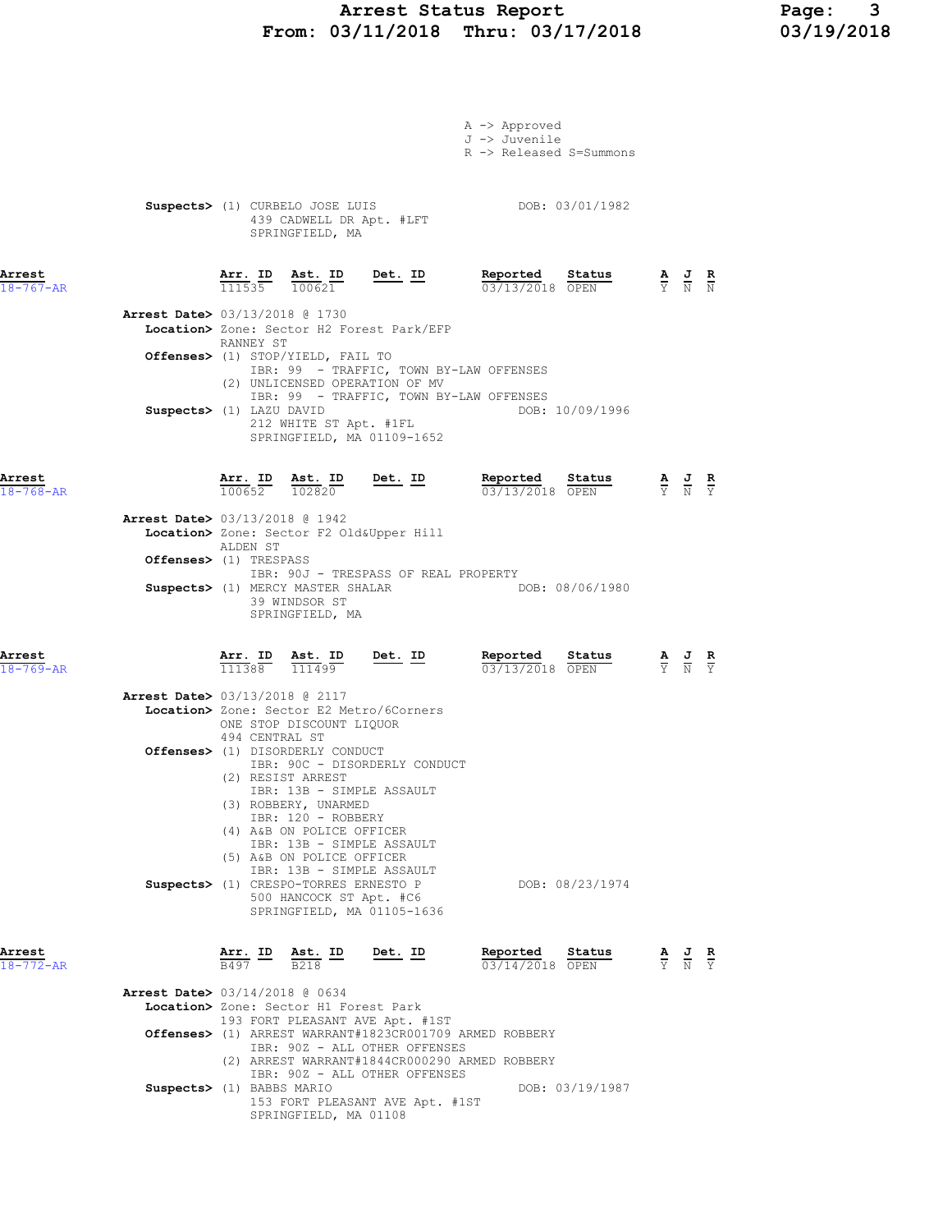# Arrest Status Report 1994 Page: 2014<br>
1991/19/2018 Thru: 03/17/2018 1991/19/2018 From: 03/11/2018 Thru: 03/17/2018

|                           |                                          |                                                                                 |                                                                                   |                                                                              | A -> Approved<br>J -> Juvenile<br>R -> Released S=Summons |                 |                                                                                                       |  |
|---------------------------|------------------------------------------|---------------------------------------------------------------------------------|-----------------------------------------------------------------------------------|------------------------------------------------------------------------------|-----------------------------------------------------------|-----------------|-------------------------------------------------------------------------------------------------------|--|
|                           |                                          |                                                                                 | Suspects> (1) CURBELO JOSE LUIS<br>439 CADWELL DR Apt. #LFT<br>SPRINGFIELD, MA    |                                                                              |                                                           | DOB: 03/01/1982 |                                                                                                       |  |
| Arrest<br>$18 - 767 - AR$ |                                          |                                                                                 |                                                                                   | $\frac{\texttt{Arr. ID}}{111535}$ $\frac{\texttt{ Ast. ID}}{100621}$ Det. ID | Reported Status<br>03/13/2018 OPEN                        |                 | $\frac{\mathbf{A}}{\mathbf{Y}}$ $\frac{\mathbf{J}}{\mathbf{N}}$ $\frac{\mathbf{R}}{\mathbf{N}}$       |  |
|                           | <b>Arrest Date&gt; 03/13/2018 @ 1730</b> | RANNEY ST                                                                       |                                                                                   | Location> Zone: Sector H2 Forest Park/EFP                                    |                                                           |                 |                                                                                                       |  |
|                           |                                          |                                                                                 | Offenses> (1) STOP/YIELD, FAIL TO                                                 | (2) UNLICENSED OPERATION OF MV                                               | IBR: 99 - TRAFFIC, TOWN BY-LAW OFFENSES                   |                 |                                                                                                       |  |
|                           | Suspects> (1) LAZU DAVID                 |                                                                                 |                                                                                   | 212 WHITE ST Apt. #1FL<br>SPRINGFIELD, MA 01109-1652                         | IBR: 99 - TRAFFIC, TOWN BY-LAW OFFENSES                   | DOB: 10/09/1996 |                                                                                                       |  |
| Arrest<br>$18 - 768 - AR$ |                                          |                                                                                 |                                                                                   | $\frac{\texttt{Arr. ID}}{100652}$ $\frac{\texttt{ Ast. ID}}{102820}$ Det. ID | Reported Status<br>03/13/2018 OPEN                        |                 | $\frac{\mathbf{A}}{\mathbf{Y}}$ $\frac{\mathbf{J}}{\mathbf{N}}$ $\frac{\mathbf{R}}{\mathbf{Y}}$       |  |
|                           | Arrest Date> 03/13/2018 @ 1942           | ALDEN ST                                                                        |                                                                                   | Location> Zone: Sector F2 Old&Upper Hill                                     |                                                           |                 |                                                                                                       |  |
|                           | Offenses> (1) TRESPASS                   |                                                                                 |                                                                                   | IBR: 90J - TRESPASS OF REAL PROPERTY                                         |                                                           |                 |                                                                                                       |  |
|                           |                                          |                                                                                 | Suspects> (1) MERCY MASTER SHALAR<br>39 WINDSOR ST<br>SPRINGFIELD, MA             |                                                                              | DOB: 08/06/1980                                           |                 |                                                                                                       |  |
| Arrest<br>$18 - 769 - AR$ |                                          | $\frac{\texttt{Arr.}}{111388}$                                                  | <u>Ast. ID</u><br>111499                                                          | $Det. ID$                                                                    | Reported<br>03/13/2018 OPEN                               | Status          | $\frac{\mathbf{A}}{\mathbf{Y}}$ $\frac{\mathbf{J}}{\mathbf{N}}$ $\frac{\mathbf{R}}{\mathbf{Y}}$       |  |
|                           | <b>Arrest Date&gt; 03/13/2018 @ 2117</b> |                                                                                 |                                                                                   | Location> Zone: Sector E2 Metro/6Corners                                     |                                                           |                 |                                                                                                       |  |
|                           |                                          | 494 CENTRAL ST                                                                  | ONE STOP DISCOUNT LIQUOR<br>Offenses> (1) DISORDERLY CONDUCT<br>(2) RESIST ARREST | IBR: 90C - DISORDERLY CONDUCT                                                |                                                           |                 |                                                                                                       |  |
|                           |                                          |                                                                                 | (3) ROBBERY, UNARMED<br>IBR: 120 - ROBBERY<br>(4) A&B ON POLICE OFFICER           | IBR: 13B - SIMPLE ASSAULT                                                    |                                                           |                 |                                                                                                       |  |
|                           |                                          |                                                                                 | (5) A&B ON POLICE OFFICER                                                         | IBR: 13B - SIMPLE ASSAULT<br>IBR: 13B - SIMPLE ASSAULT                       |                                                           |                 |                                                                                                       |  |
|                           |                                          |                                                                                 | Suspects> (1) CRESPO-TORRES ERNESTO P<br>500 HANCOCK ST Apt. #C6                  | SPRINGFIELD, MA 01105-1636                                                   |                                                           | DOB: 08/23/1974 |                                                                                                       |  |
| Arrest<br>$18 - 772 - AR$ |                                          | $\frac{\text{Arr. ID}}{\text{Set}}$ $\frac{\text{Ast. ID}}{\text{Set}}$<br>B497 | B <sub>218</sub>                                                                  | Det. ID                                                                      | Reported<br>03/14/2018 OPEN                               | Status          | $\frac{\mathbf{A}}{\overline{Y}}$ $\frac{\mathbf{J}}{\overline{N}}$ $\frac{\mathbf{R}}{\overline{Y}}$ |  |
|                           | <b>Arrest Date&gt; 03/14/2018 @ 0634</b> |                                                                                 | Location> Zone: Sector H1 Forest Park                                             |                                                                              |                                                           |                 |                                                                                                       |  |
|                           |                                          |                                                                                 |                                                                                   | 193 FORT PLEASANT AVE Apt. #1ST<br>IBR: 90Z - ALL OTHER OFFENSES             | Offenses> (1) ARREST WARRANT#1823CR001709 ARMED ROBBERY   |                 |                                                                                                       |  |
|                           |                                          |                                                                                 |                                                                                   | IBR: 90Z - ALL OTHER OFFENSES                                                | (2) ARREST WARRANT#1844CR000290 ARMED ROBBERY             |                 |                                                                                                       |  |

 IBR: 90Z - ALL OTHER OFFENSES Suspects> (1) BABBS MARIO DOB: 03/19/1987 153 FORT PLEASANT AVE Apt. #1ST SPRINGFIELD, MA 01108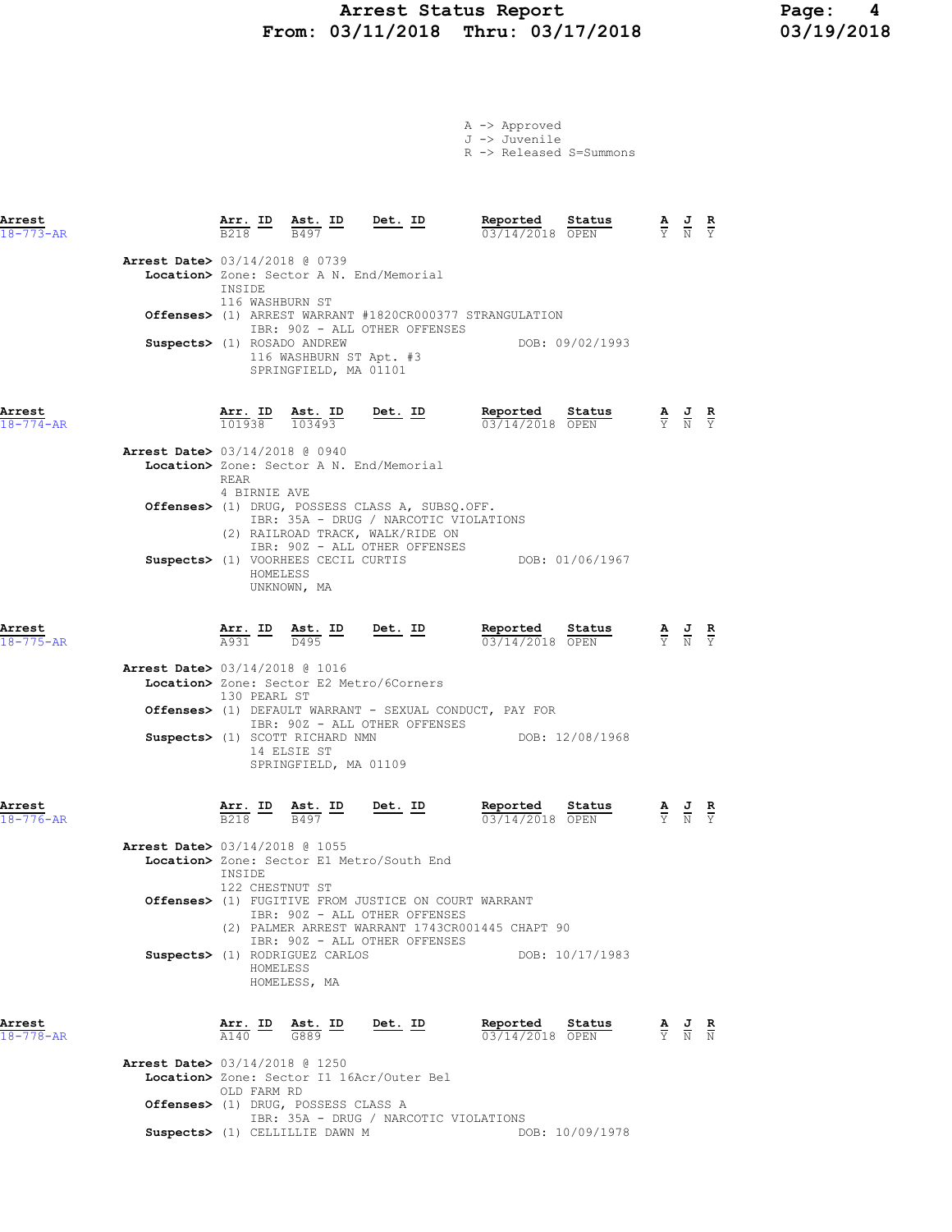# Arrest Status Report 1994 Page: 4<br>
1991/19/2018 Thru: 03/17/2018 1991/2018 From: 03/11/2018 Thru: 03/17/2018

A -> Approved J -> Juvenile R -> Released S=Summons

| Arrest<br>$18 - 773 - AR$ |                                          | $\frac{\text{Arr.}}{\text{B218}}$ ID | Ast. ID<br>B497                                                                                                | <u>Det.</u> ID                                                                                                                                                | Reported<br>03/14/2018 OPEN                                        | Status          | $\frac{\mathbf{A}}{\mathbf{Y}}$ $\frac{\mathbf{J}}{\mathbf{N}}$ $\frac{\mathbf{R}}{\mathbf{Y}}$       |                               |
|---------------------------|------------------------------------------|--------------------------------------|----------------------------------------------------------------------------------------------------------------|---------------------------------------------------------------------------------------------------------------------------------------------------------------|--------------------------------------------------------------------|-----------------|-------------------------------------------------------------------------------------------------------|-------------------------------|
|                           | <b>Arrest Date&gt;</b> 03/14/2018 @ 0739 | INSIDE<br>116 WASHBURN ST            |                                                                                                                | Location> Zone: Sector A N. End/Memorial                                                                                                                      |                                                                    |                 |                                                                                                       |                               |
|                           |                                          |                                      |                                                                                                                |                                                                                                                                                               | <b>Offenses&gt;</b> (1) ARREST WARRANT #1820CR000377 STRANGULATION |                 |                                                                                                       |                               |
|                           | Suspects> (1) ROSADO ANDREW              |                                      | 116 WASHBURN ST Apt. #3<br>SPRINGFIELD, MA 01101                                                               | IBR: 90Z - ALL OTHER OFFENSES                                                                                                                                 | DOB: 09/02/1993                                                    |                 |                                                                                                       |                               |
| Arrest<br>$18 - 774 - AR$ |                                          | Arr. ID<br>101938 103493             | Ast. ID                                                                                                        | <u>Det. ID</u>                                                                                                                                                | Reported<br>03/14/2018 OPEN                                        | Status          | $\frac{\mathbf{A}}{\mathbf{Y}}$ $\frac{\mathbf{J}}{\mathbf{N}}$ $\frac{\mathbf{R}}{\mathbf{Y}}$       |                               |
|                           | <b>Arrest Date&gt;</b> 03/14/2018 @ 0940 | REAR                                 |                                                                                                                | Location> Zone: Sector A N. End/Memorial                                                                                                                      |                                                                    |                 |                                                                                                       |                               |
|                           |                                          | 4 BIRNIE AVE                         |                                                                                                                | Offenses> (1) DRUG, POSSESS CLASS A, SUBSQ.OFF.<br>IBR: 35A - DRUG / NARCOTIC VIOLATIONS<br>(2) RAILROAD TRACK, WALK/RIDE ON<br>IBR: 90Z - ALL OTHER OFFENSES |                                                                    |                 |                                                                                                       |                               |
|                           |                                          | HOMELESS                             | Suspects> (1) VOORHEES CECIL CURTIS<br>UNKNOWN, MA                                                             |                                                                                                                                                               |                                                                    | DOB: 01/06/1967 |                                                                                                       |                               |
| Arrest<br>$18 - 775 - AR$ |                                          |                                      | $\frac{\texttt{Arr.}}{\texttt{A931}}$ $\frac{\texttt{lab}}{\texttt{D495}}$ $\frac{\texttt{ID}}{\texttt{D495}}$ | <u>Det. ID</u>                                                                                                                                                | Reported<br>03/14/2018 OPEN                                        | Status          | $\frac{\mathbf{A}}{\overline{Y}}$ $\frac{\mathbf{J}}{\overline{N}}$ $\frac{\mathbf{R}}{\overline{Y}}$ |                               |
|                           | <b>Arrest Date&gt;</b> 03/14/2018 @ 1016 | 130 PEARL ST                         |                                                                                                                | <b>Location&gt;</b> Zone: Sector E2 Metro/6Corners<br>Offenses> (1) DEFAULT WARRANT - SEXUAL CONDUCT, PAY FOR                                                 |                                                                    |                 |                                                                                                       |                               |
|                           |                                          |                                      | Suspects> (1) SCOTT RICHARD NMN<br>14 ELSIE ST<br>SPRINGFIELD, MA 01109                                        | IBR: 90Z - ALL OTHER OFFENSES                                                                                                                                 |                                                                    | DOB: 12/08/1968 |                                                                                                       |                               |
| Arrest<br>$18 - 776 - AR$ |                                          | <u>Arr. ID</u><br>B <sub>218</sub>   | Ast. ID<br>$\frac{\text{Ast.}}{B497}$<br>B497                                                                  | Det. ID                                                                                                                                                       | Reported<br>03/14/2018 OPEN                                        | Status          | $\frac{\mathbf{A}}{\mathbf{Y}}$ $\frac{\mathbf{J}}{\mathbf{N}}$                                       | $rac{\mathbf{R}}{\mathbf{Y}}$ |
|                           | <b>Arrest Date&gt; 03/14/2018 @ 1055</b> | INSIDE                               |                                                                                                                | Location> Zone: Sector E1 Metro/South End                                                                                                                     |                                                                    |                 |                                                                                                       |                               |
|                           |                                          | 122 CHESTNUT ST                      |                                                                                                                | <b>Offenses&gt;</b> (1) FUGITIVE FROM JUSTICE ON COURT WARRANT<br>IBR: 90Z - ALL OTHER OFFENSES<br>IBR: 90Z - ALL OTHER OFFENSES                              | (2) PALMER ARREST WARRANT 1743CR001445 CHAPT 90                    |                 |                                                                                                       |                               |
|                           |                                          | HOMELESS                             | Suspects> (1) RODRIGUEZ CARLOS<br>HOMELESS, MA                                                                 |                                                                                                                                                               |                                                                    | DOB: 10/17/1983 |                                                                                                       |                               |
| Arrest<br>$18 - 778 - AR$ |                                          | Arr. ID<br>$\overline{A140}$         | $rac{\text{Ast.}}{\text{G889}}$ ID                                                                             | Det. ID                                                                                                                                                       | Reported<br>03/14/2018 OPEN                                        | Status          | $\frac{\mathbf{A}}{\mathbf{Y}}$ $\frac{\mathbf{J}}{\mathbf{N}}$ $\frac{\mathbf{R}}{\mathbf{N}}$       |                               |
|                           | <b>Arrest Date&gt;</b> 03/14/2018 @ 1250 |                                      |                                                                                                                | Location> Zone: Sector I1 16Acr/Outer Bel                                                                                                                     |                                                                    |                 |                                                                                                       |                               |
|                           |                                          | OLD FARM RD                          | Offenses> (1) DRUG, POSSESS CLASS A                                                                            | IBR: 35A - DRUG / NARCOTIC VIOLATIONS                                                                                                                         |                                                                    |                 |                                                                                                       |                               |
|                           |                                          |                                      | Suspects> (1) CELLILLIE DAWN M                                                                                 |                                                                                                                                                               |                                                                    | DOB: 10/09/1978 |                                                                                                       |                               |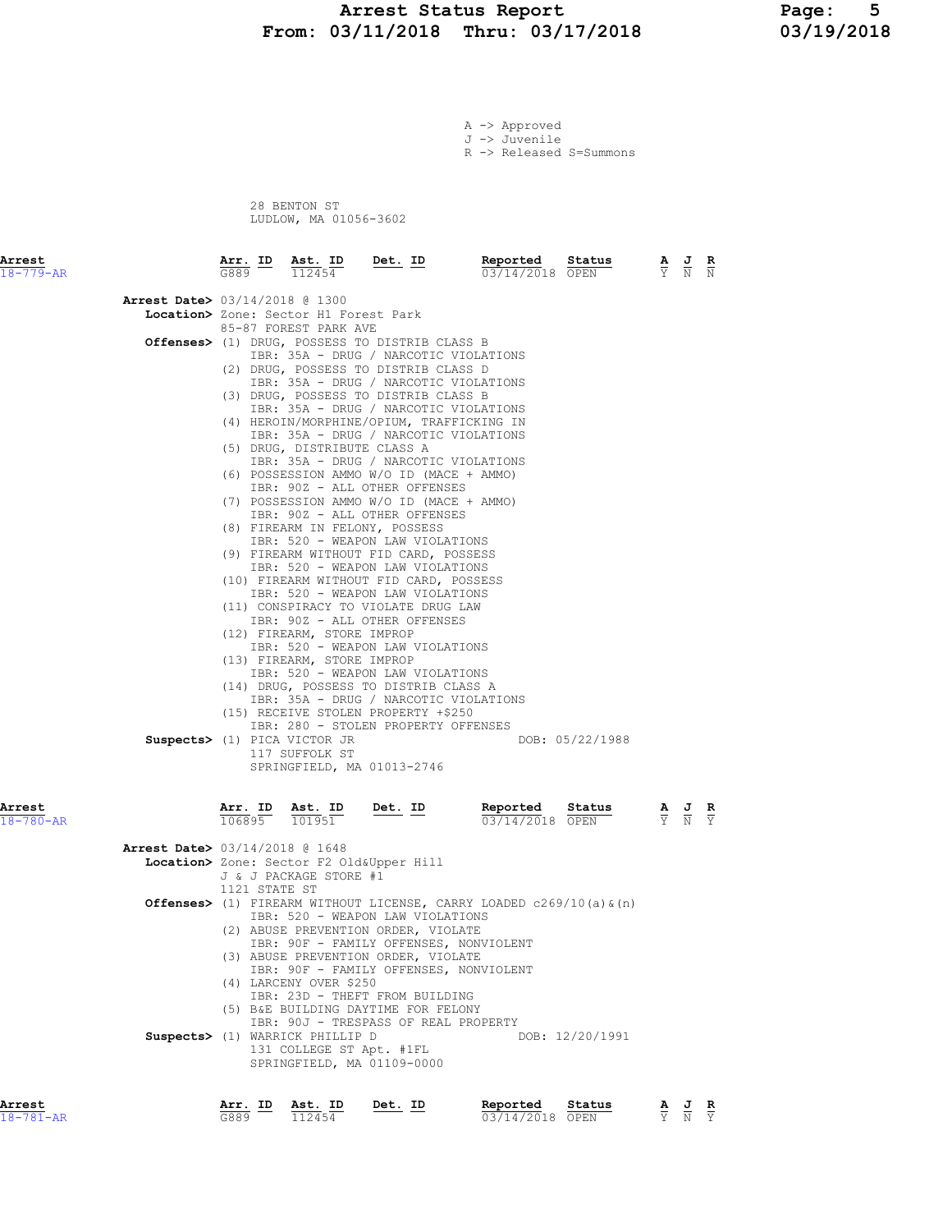#### Arrest Status Report 1994 Page: 5<br>
13/11/2018 Thru: 03/17/2018 13/19/2018 From: 03/11/2018 Thru: 03/17/2018

A -> Approved J -> Juvenile

R -> Released S=Summons

 28 BENTON ST LUDLOW, MA 01056-3602

| Arrest<br>$18 - 779 - AR$                                             | <u>Arr. ID</u>    | Ast. ID<br>112454                                                                                                                                                                                                                                                                                                                                                                                                                                                                                                                                                                                                                                                                                                                                                                                                                                                                                                                                                                                                                                                                                                                                                                                                                                                                                                   | $Det. ID$ | Reported<br>03/14/2018 OPEN                                                                                             | Status                    | $\frac{A}{Y}$ | $\frac{J}{N}$                                                   |                             |
|-----------------------------------------------------------------------|-------------------|---------------------------------------------------------------------------------------------------------------------------------------------------------------------------------------------------------------------------------------------------------------------------------------------------------------------------------------------------------------------------------------------------------------------------------------------------------------------------------------------------------------------------------------------------------------------------------------------------------------------------------------------------------------------------------------------------------------------------------------------------------------------------------------------------------------------------------------------------------------------------------------------------------------------------------------------------------------------------------------------------------------------------------------------------------------------------------------------------------------------------------------------------------------------------------------------------------------------------------------------------------------------------------------------------------------------|-----------|-------------------------------------------------------------------------------------------------------------------------|---------------------------|---------------|-----------------------------------------------------------------|-----------------------------|
| <b>Arrest Date&gt;</b> 03/14/2018 @ 1300                              |                   | Location> Zone: Sector H1 Forest Park<br>85-87 FOREST PARK AVE<br>Offenses> (1) DRUG, POSSESS TO DISTRIB CLASS B<br>IBR: 35A - DRUG / NARCOTIC VIOLATIONS<br>(2) DRUG, POSSESS TO DISTRIB CLASS D<br>IBR: 35A - DRUG / NARCOTIC VIOLATIONS<br>(3) DRUG, POSSESS TO DISTRIB CLASS B<br>IBR: 35A - DRUG / NARCOTIC VIOLATIONS<br>(4) HEROIN/MORPHINE/OPIUM, TRAFFICKING IN<br>IBR: 35A - DRUG / NARCOTIC VIOLATIONS<br>(5) DRUG, DISTRIBUTE CLASS A<br>IBR: 35A - DRUG / NARCOTIC VIOLATIONS<br>(6) POSSESSION AMMO W/O ID (MACE + AMMO)<br>IBR: 90Z - ALL OTHER OFFENSES<br>(7) POSSESSION AMMO W/O ID (MACE + AMMO)<br>IBR: 90Z - ALL OTHER OFFENSES<br>(8) FIREARM IN FELONY, POSSESS<br>IBR: 520 - WEAPON LAW VIOLATIONS<br>(9) FIREARM WITHOUT FID CARD, POSSESS<br>IBR: 520 - WEAPON LAW VIOLATIONS<br>(10) FIREARM WITHOUT FID CARD, POSSESS<br>IBR: 520 - WEAPON LAW VIOLATIONS<br>(11) CONSPIRACY TO VIOLATE DRUG LAW<br>IBR: 90Z - ALL OTHER OFFENSES<br>(12) FIREARM, STORE IMPROP<br>IBR: 520 - WEAPON LAW VIOLATIONS<br>(13) FIREARM, STORE IMPROP<br>IBR: 520 - WEAPON LAW VIOLATIONS<br>(14) DRUG, POSSESS TO DISTRIB CLASS A<br>IBR: 35A - DRUG / NARCOTIC VIOLATIONS<br>(15) RECEIVE STOLEN PROPERTY +\$250<br>IBR: 280 - STOLEN PROPERTY OFFENSES<br>Suspects> (1) PICA VICTOR JR<br>117 SUFFOLK ST |           |                                                                                                                         | DOB: 05/22/1988           |               |                                                                 |                             |
| Arrest<br>$18 - 780 - AR$<br><b>Arrest Date&gt;</b> 03/14/2018 @ 1648 | Arr. ID<br>106895 | SPRINGFIELD, MA 01013-2746<br>Ast. ID<br>101951<br>Location> Zone: Sector F2 Old&Upper Hill<br>J & J PACKAGE STORE #1<br>1121 STATE ST<br>IBR: 520 - WEAPON LAW VIOLATIONS<br>(2) ABUSE PREVENTION ORDER, VIOLATE<br>IBR: 90F - FAMILY OFFENSES, NONVIOLENT<br>(3) ABUSE PREVENTION ORDER, VIOLATE<br>IBR: 90F - FAMILY OFFENSES, NONVIOLENT<br>(4) LARCENY OVER \$250<br>IBR: 23D - THEFT FROM BUILDING<br>(5) B&E BUILDING DAYTIME FOR FELONY<br>IBR: 90J - TRESPASS OF REAL PROPERTY<br>Suspects> (1) WARRICK PHILLIP D<br>131 COLLEGE ST Apt. #1FL<br>SPRINGFIELD, MA 01109-0000                                                                                                                                                                                                                                                                                                                                                                                                                                                                                                                                                                                                                                                                                                                                | $Det. ID$ | Reported<br>03/14/2018 OPEN<br><b>Offenses&gt;</b> (1) FIREARM WITHOUT LICENSE, CARRY LOADED $c269/10$ (a) $\alpha$ (n) | Status<br>DOB: 12/20/1991 |               | $\frac{\mathbf{A}}{\mathbf{Y}}$ $\frac{\mathbf{J}}{\mathbf{N}}$ | $rac{\mathbf{R}}{\Upsilon}$ |
| Arrest                                                                | Arr. ID           | Ast. ID                                                                                                                                                                                                                                                                                                                                                                                                                                                                                                                                                                                                                                                                                                                                                                                                                                                                                                                                                                                                                                                                                                                                                                                                                                                                                                             | Det. ID   | Reported                                                                                                                | Status                    |               | AJ R                                                            |                             |

18-781-AR G889 112454 03/14/2018 OPEN Y N Y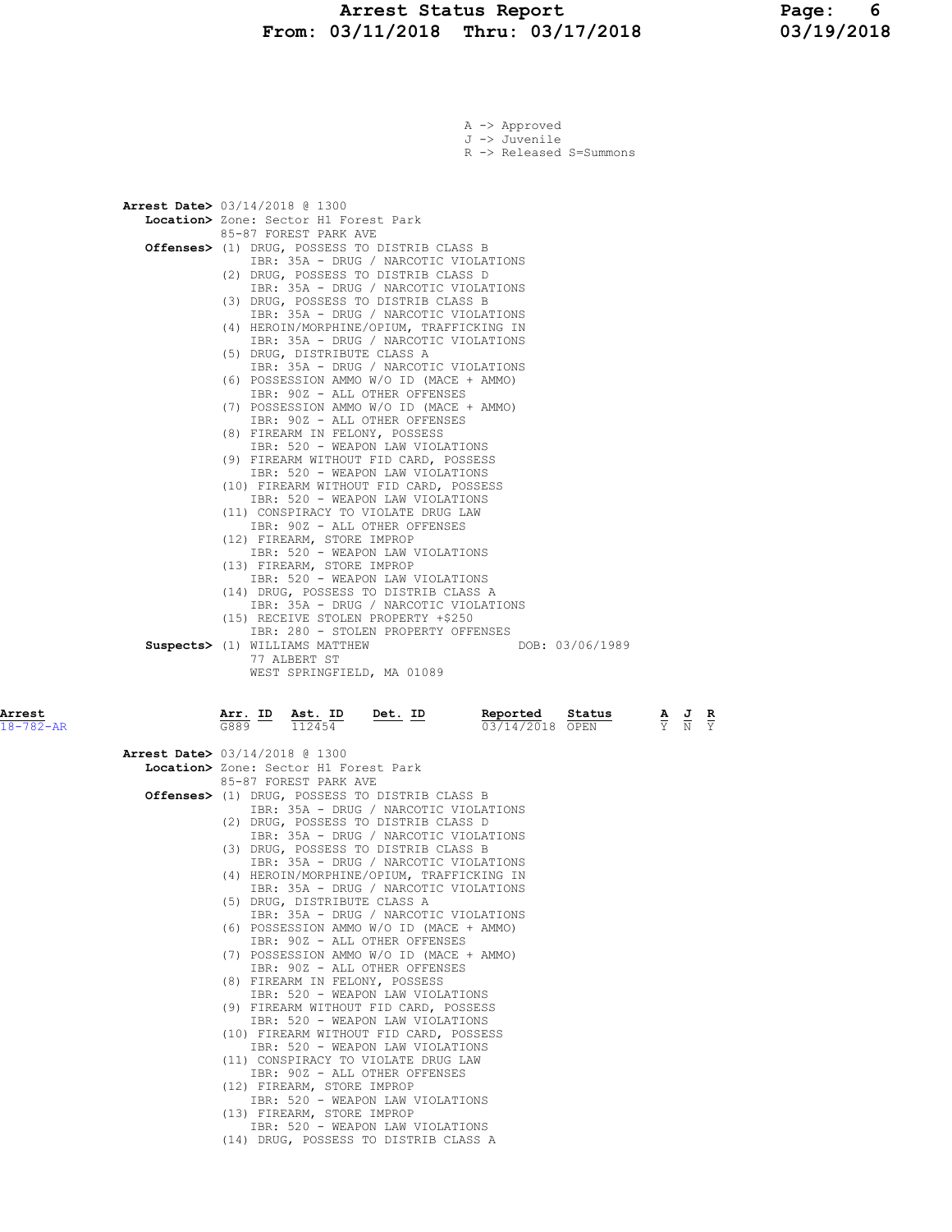# Arrest Status Report 1994 Page: 6<br>
13/11/2018 Thru: 03/17/2018 13/19/2018 From: 03/11/2018 Thru: 03/17/2018

|                           | A -> Approved<br>J -> Juvenile<br>R -> Released S=Summons                                                                                                                                                                                                                                                                                                                                                                                                                                                                                                                                                                                                                                                                                                                                                                                                                                                                                                                                                                                                                                                                                                                                                                       |                                                                                                  |
|---------------------------|---------------------------------------------------------------------------------------------------------------------------------------------------------------------------------------------------------------------------------------------------------------------------------------------------------------------------------------------------------------------------------------------------------------------------------------------------------------------------------------------------------------------------------------------------------------------------------------------------------------------------------------------------------------------------------------------------------------------------------------------------------------------------------------------------------------------------------------------------------------------------------------------------------------------------------------------------------------------------------------------------------------------------------------------------------------------------------------------------------------------------------------------------------------------------------------------------------------------------------|--------------------------------------------------------------------------------------------------|
|                           | <b>Arrest Date&gt;</b> 03/14/2018 @ 1300<br>Location> Zone: Sector H1 Forest Park<br>85-87 FOREST PARK AVE<br>Offenses> (1) DRUG, POSSESS TO DISTRIB CLASS B<br>IBR: 35A - DRUG / NARCOTIC VIOLATIONS<br>(2) DRUG, POSSESS TO DISTRIB CLASS D<br>IBR: 35A - DRUG / NARCOTIC VIOLATIONS<br>(3) DRUG, POSSESS TO DISTRIB CLASS B<br>IBR: 35A - DRUG / NARCOTIC VIOLATIONS<br>(4) HEROIN/MORPHINE/OPIUM, TRAFFICKING IN<br>IBR: 35A - DRUG / NARCOTIC VIOLATIONS<br>(5) DRUG, DISTRIBUTE CLASS A<br>IBR: 35A - DRUG / NARCOTIC VIOLATIONS<br>(6) POSSESSION AMMO W/O ID (MACE + AMMO)<br>IBR: 90Z - ALL OTHER OFFENSES<br>(7) POSSESSION AMMO W/O ID (MACE + AMMO)<br>IBR: 90Z - ALL OTHER OFFENSES<br>(8) FIREARM IN FELONY, POSSESS<br>IBR: 520 - WEAPON LAW VIOLATIONS<br>(9) FIREARM WITHOUT FID CARD, POSSESS<br>IBR: 520 - WEAPON LAW VIOLATIONS<br>(10) FIREARM WITHOUT FID CARD, POSSESS<br>IBR: 520 - WEAPON LAW VIOLATIONS<br>(11) CONSPIRACY TO VIOLATE DRUG LAW<br>IBR: 90Z - ALL OTHER OFFENSES<br>(12) FIREARM, STORE IMPROP<br>IBR: 520 - WEAPON LAW VIOLATIONS<br>(13) FIREARM, STORE IMPROP<br>IBR: 520 - WEAPON LAW VIOLATIONS<br>(14) DRUG, POSSESS TO DISTRIB CLASS A<br>IBR: 35A - DRUG / NARCOTIC VIOLATIONS |                                                                                                  |
|                           | (15) RECEIVE STOLEN PROPERTY +\$250<br>IBR: 280 - STOLEN PROPERTY OFFENSES<br>Suspects> (1) WILLIAMS MATTHEW<br>DOB: 03/06/1989<br>77 ALBERT ST<br>WEST SPRINGFIELD, MA 01089                                                                                                                                                                                                                                                                                                                                                                                                                                                                                                                                                                                                                                                                                                                                                                                                                                                                                                                                                                                                                                                   |                                                                                                  |
| Arrest<br>$18 - 782 - AR$ | Reported<br>Status<br>$\frac{\text{Arr.}}{G889}$ ID $\frac{\text{Ast.}}{112454}$<br><u>Det. ID</u><br>03/14/2018 OPEN                                                                                                                                                                                                                                                                                                                                                                                                                                                                                                                                                                                                                                                                                                                                                                                                                                                                                                                                                                                                                                                                                                           | $rac{\mathbf{R}}{\mathbf{Y}}$<br>$\frac{\mathbf{A}}{\mathbf{Y}}$ $\frac{\mathbf{J}}{\mathbf{N}}$ |

| 18-782-AR |                                          | G889 | 112454                                                                     | 03/14/2018 OPEN |  | Y N Y |  |
|-----------|------------------------------------------|------|----------------------------------------------------------------------------|-----------------|--|-------|--|
|           | <b>Arrest Date&gt; 03/14/2018 @ 1300</b> |      |                                                                            |                 |  |       |  |
|           |                                          |      | Location> Zone: Sector H1 Forest Park                                      |                 |  |       |  |
|           |                                          |      | 85-87 FOREST PARK AVE                                                      |                 |  |       |  |
|           |                                          |      | Offenses> (1) DRUG, POSSESS TO DISTRIB CLASS B                             |                 |  |       |  |
|           |                                          |      | IBR: 35A - DRUG / NARCOTIC VIOLATIONS                                      |                 |  |       |  |
|           |                                          |      | (2) DRUG, POSSESS TO DISTRIB CLASS D                                       |                 |  |       |  |
|           |                                          |      | IBR: 35A - DRUG / NARCOTIC VIOLATIONS                                      |                 |  |       |  |
|           |                                          |      | (3) DRUG, POSSESS TO DISTRIB CLASS B                                       |                 |  |       |  |
|           |                                          |      | IBR: 35A - DRUG / NARCOTIC VIOLATIONS                                      |                 |  |       |  |
|           |                                          |      | (4) HEROIN/MORPHINE/OPIUM, TRAFFICKING IN                                  |                 |  |       |  |
|           |                                          |      | IBR: 35A - DRUG / NARCOTIC VIOLATIONS                                      |                 |  |       |  |
|           |                                          |      | (5) DRUG, DISTRIBUTE CLASS A                                               |                 |  |       |  |
|           |                                          |      | IBR: 35A - DRUG / NARCOTIC VIOLATIONS                                      |                 |  |       |  |
|           |                                          |      | (6) POSSESSION AMMO W/O ID (MACE + AMMO)                                   |                 |  |       |  |
|           |                                          |      | IBR: 90Z - ALL OTHER OFFENSES                                              |                 |  |       |  |
|           |                                          |      | (7) POSSESSION AMMO W/O ID (MACE + AMMO)                                   |                 |  |       |  |
|           |                                          |      | IBR: 90Z - ALL OTHER OFFENSES                                              |                 |  |       |  |
|           |                                          |      | (8) FIREARM IN FELONY, POSSESS                                             |                 |  |       |  |
|           |                                          |      | IBR: 520 - WEAPON LAW VIOLATIONS                                           |                 |  |       |  |
|           |                                          |      | (9) FIREARM WITHOUT FID CARD, POSSESS                                      |                 |  |       |  |
|           |                                          |      | IBR: 520 - WEAPON LAW VIOLATIONS                                           |                 |  |       |  |
|           |                                          |      | (10) FIREARM WITHOUT FID CARD, POSSESS<br>TBR: 520 - WEAPON LAW VIOLATIONS |                 |  |       |  |
|           |                                          |      | (11) CONSPIRACY TO VIOLATE DRUG LAW                                        |                 |  |       |  |
|           |                                          |      | IBR: 90Z - ALL OTHER OFFENSES                                              |                 |  |       |  |
|           |                                          |      | (12) FIREARM, STORE IMPROP                                                 |                 |  |       |  |
|           |                                          |      | IBR: 520 - WEAPON LAW VIOLATIONS                                           |                 |  |       |  |
|           |                                          |      | (13) FIREARM, STORE IMPROP                                                 |                 |  |       |  |
|           |                                          |      | IBR: 520 - WEAPON LAW VIOLATIONS                                           |                 |  |       |  |
|           |                                          |      |                                                                            |                 |  |       |  |

(14) DRUG, POSSESS TO DISTRIB CLASS A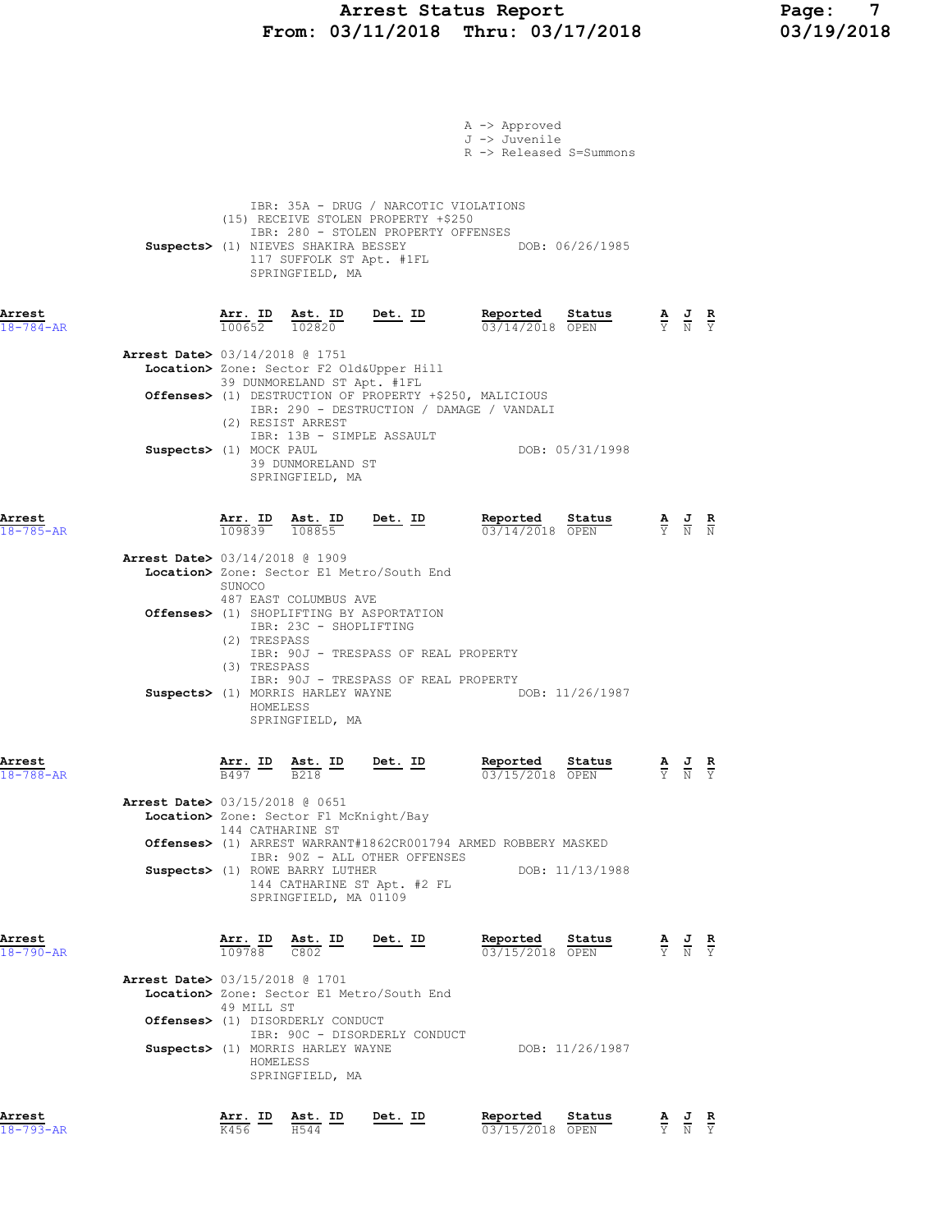### Arrest Status Report Page: 7 From: 03/11/2018 Thru: 03/17/2018 03/19/2018

|                                          |                                    |                                                                                                       |                                                                                                                                                                                        | A -> Approved<br>J -> Juvenile<br>R -> Released S=Summons |                 |                                 |                                                                                                       |  |
|------------------------------------------|------------------------------------|-------------------------------------------------------------------------------------------------------|----------------------------------------------------------------------------------------------------------------------------------------------------------------------------------------|-----------------------------------------------------------|-----------------|---------------------------------|-------------------------------------------------------------------------------------------------------|--|
|                                          |                                    | SPRINGFIELD, MA                                                                                       | IBR: 35A - DRUG / NARCOTIC VIOLATIONS<br>(15) RECEIVE STOLEN PROPERTY +\$250<br>IBR: 280 - STOLEN PROPERTY OFFENSES<br>Suspects> (1) NIEVES SHAKIRA BESSEY<br>117 SUFFOLK ST Apt. #1FL |                                                           | DOB: 06/26/1985 |                                 |                                                                                                       |  |
| Arrest<br>$18 - 784 - AR$                |                                    | $\frac{\texttt{Arr.}}{100652}$ $\frac{\texttt{ Ast.}}{102820}$ $\frac{\texttt{Det.}}{202820}$         |                                                                                                                                                                                        | Reported Status<br>03/14/2018 OPEN                        |                 |                                 | $\frac{\mathbf{A}}{\mathbf{Y}}$ $\frac{\mathbf{J}}{\mathbf{N}}$ $\frac{\mathbf{R}}{\mathbf{Y}}$       |  |
| Arrest Date> 03/14/2018 @ 1751           |                                    | Location> Zone: Sector F2 Old&Upper Hill                                                              |                                                                                                                                                                                        |                                                           |                 |                                 |                                                                                                       |  |
|                                          | (2) RESIST ARREST                  | 39 DUNMORELAND ST Apt. #1FL                                                                           | <b>Offenses&gt;</b> (1) DESTRUCTION OF PROPERTY +\$250, MALICIOUS<br>IBR: 290 - DESTRUCTION / DAMAGE / VANDALI                                                                         |                                                           |                 |                                 |                                                                                                       |  |
| Suspects> (1) MOCK PAUL                  |                                    | IBR: 13B - SIMPLE ASSAULT<br>39 DUNMORELAND ST<br>SPRINGFIELD, MA                                     |                                                                                                                                                                                        |                                                           | DOB: 05/31/1998 |                                 |                                                                                                       |  |
| Arrest<br>$18 - 785 - AR$                |                                    | $\frac{\texttt{Arr. ID}}{109839}$ $\frac{\texttt{ Ast. ID}}{108855}$ Det. ID                          |                                                                                                                                                                                        | Reported Status<br>03/14/2018 OPEN                        |                 |                                 | $\frac{\mathbf{A}}{\overline{Y}}$ $\frac{\mathbf{J}}{\overline{N}}$ $\frac{\mathbf{R}}{\overline{N}}$ |  |
| <b>Arrest Date&gt; 03/14/2018 @ 1909</b> | SUNOCO                             |                                                                                                       | Location> Zone: Sector E1 Metro/South End                                                                                                                                              |                                                           |                 |                                 |                                                                                                       |  |
|                                          | (2) TRESPASS                       | 487 EAST COLUMBUS AVE<br><b>Offenses&gt;</b> (1) SHOPLIFTING BY ASPORTATION<br>IBR: 23C - SHOPLIFTING | IBR: 90J - TRESPASS OF REAL PROPERTY                                                                                                                                                   |                                                           |                 |                                 |                                                                                                       |  |
|                                          | (3) TRESPASS<br>HOMELESS           | SPRINGFIELD, MA                                                                                       | IBR: 90J - TRESPASS OF REAL PROPERTY<br>Suspects> (1) MORRIS HARLEY WAYNE DOB: 11/26/1987                                                                                              |                                                           |                 |                                 |                                                                                                       |  |
| Arrest<br>$18 - 788 - AR$                | Arr. ID<br>B497                    | Ast. ID<br><b>B218</b>                                                                                | Det. ID                                                                                                                                                                                | Reported<br>03/15/2018 OPEN                               | Status          |                                 | $\frac{\mathbf{A}}{\mathbf{Y}}$ $\frac{\mathbf{J}}{\mathbf{N}}$ $\frac{\mathbf{R}}{\mathbf{Y}}$       |  |
| <b>Arrest Date&gt;</b> 03/15/2018 @ 0651 | 144 CATHARINE ST                   | Location> Zone: Sector F1 McKnight/Bay                                                                |                                                                                                                                                                                        |                                                           |                 |                                 |                                                                                                       |  |
|                                          |                                    | Suspects> (1) ROWE BARRY LUTHER<br>SPRINGFIELD, MA 01109                                              | Offenses> (1) ARREST WARRANT#1862CR001794 ARMED ROBBERY MASKED<br>IBR: 90Z - ALL OTHER OFFENSES<br>144 CATHARINE ST Apt. #2 FL                                                         |                                                           | DOB: 11/13/1988 |                                 |                                                                                                       |  |
| Arrest<br>$18 - 790 - AR$                | Arr. ID Ast. ID<br>$109788$ $C802$ |                                                                                                       | Det. ID                                                                                                                                                                                | Reported<br>03/15/2018 OPEN                               | Status          |                                 | $\frac{\mathbf{A}}{\mathbf{Y}}$ $\frac{\mathbf{J}}{\mathbf{N}}$ $\frac{\mathbf{R}}{\mathbf{Y}}$       |  |
| <b>Arrest Date&gt; 03/15/2018 @ 1701</b> | 49 MILL ST                         |                                                                                                       | Location> Zone: Sector E1 Metro/South End                                                                                                                                              |                                                           |                 |                                 |                                                                                                       |  |
|                                          | HOMELESS                           | <b>Offenses&gt;</b> (1) DISORDERLY CONDUCT<br>Suspects> (1) MORRIS HARLEY WAYNE<br>SPRINGFIELD, MA    | IBR: 90C - DISORDERLY CONDUCT                                                                                                                                                          |                                                           | DOB: 11/26/1987 |                                 |                                                                                                       |  |
| Arrest<br>$18 - 793 - AR$                | Arr. ID<br>K456                    | Ast. ID<br>H544                                                                                       | Det. ID                                                                                                                                                                                | Reported<br>03/15/2018 OPEN                               | Status          | $\frac{\mathbf{A}}{\mathbf{Y}}$ | $\frac{J}{N}$ $\frac{R}{Y}$                                                                           |  |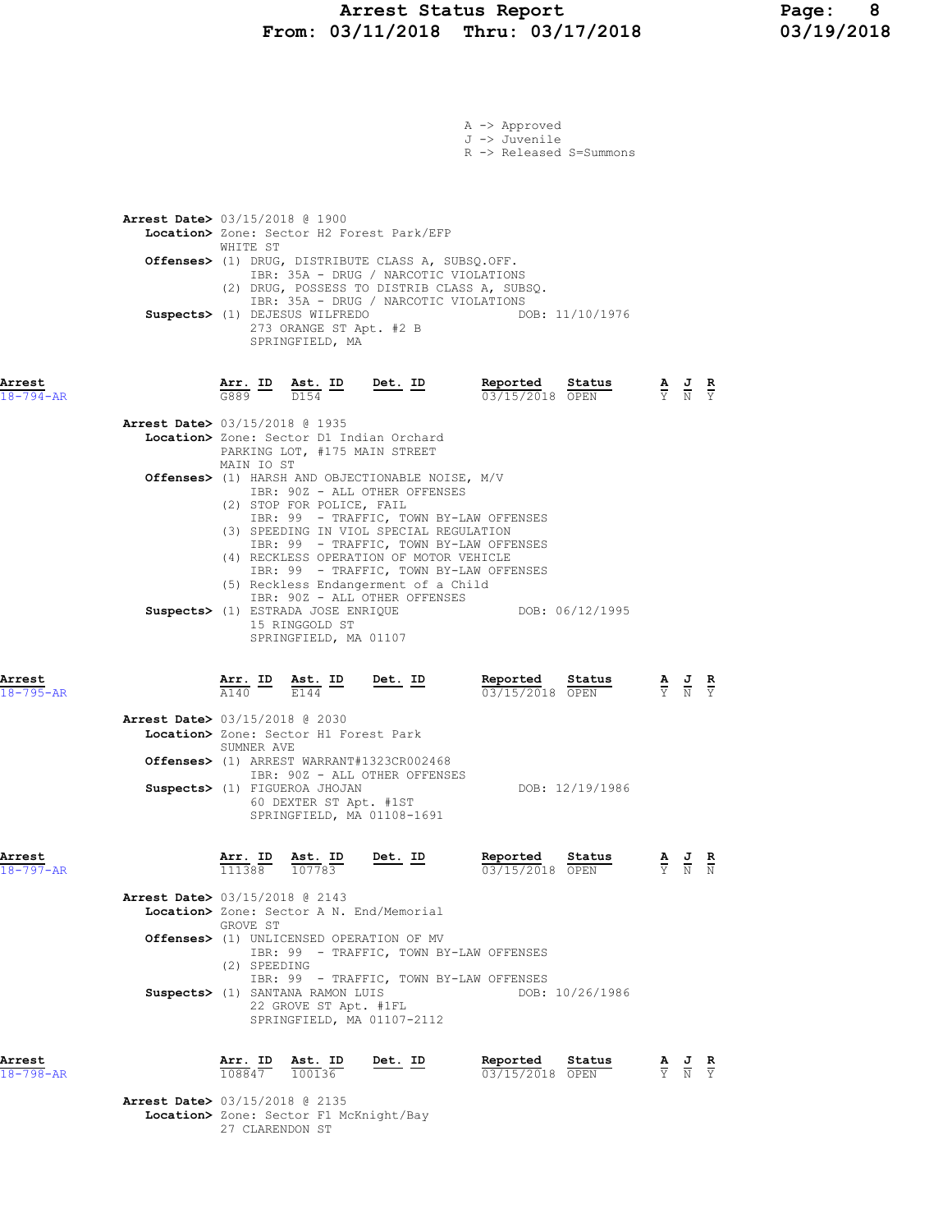|                           |                                                                                                                                                                                                                                                                                                                                                                           |                | A -> Approved<br>J -> Juvenile<br>R -> Released S=Summons                                                                                                                                                                                                                                           |                                                                                                 |                                                                                                 |  |
|---------------------------|---------------------------------------------------------------------------------------------------------------------------------------------------------------------------------------------------------------------------------------------------------------------------------------------------------------------------------------------------------------------------|----------------|-----------------------------------------------------------------------------------------------------------------------------------------------------------------------------------------------------------------------------------------------------------------------------------------------------|-------------------------------------------------------------------------------------------------|-------------------------------------------------------------------------------------------------|--|
|                           | <b>Arrest Date&gt; 03/15/2018 @ 1900</b><br>Location> Zone: Sector H2 Forest Park/EFP<br>WHITE ST<br>Offenses> (1) DRUG, DISTRIBUTE CLASS A, SUBSQ.OFF.<br>IBR: 35A - DRUG / NARCOTIC VIOLATIONS<br>(2) DRUG, POSSESS TO DISTRIB CLASS A, SUBSQ.<br>IBR: 35A - DRUG / NARCOTIC VIOLATIONS<br>Suspects> (1) DEJESUS WILFREDO<br>273 ORANGE ST Apt. #2 B<br>SPRINGFIELD, MA |                | DOB: 11/10/1976                                                                                                                                                                                                                                                                                     |                                                                                                 |                                                                                                 |  |
| Arrest<br>$18 - 794 - AR$ | $\frac{\texttt{Arr.}}{\texttt{G889}}$ ID<br>$\frac{\text{Ast.}}{D154}$ ID<br>Arrest Date> 03/15/2018 @ 1935                                                                                                                                                                                                                                                               |                | <b>Det.</b> ID Reported Status A J R $\frac{1}{0.3}$ $\frac{1}{0.5}$ $\frac{1}{0.5}$ $\frac{1}{0.5}$ $\frac{1}{0.5}$ $\frac{1}{0.5}$ $\frac{1}{0.5}$ $\frac{1}{0.5}$ $\frac{1}{0.5}$ $\frac{1}{0.5}$ $\frac{1}{0.5}$ $\frac{1}{0.5}$ $\frac{1}{0.5}$ $\frac{1}{0.5}$ $\frac{1}{0.5}$ $\frac{1}{0.5$ |                                                                                                 |                                                                                                 |  |
|                           | Location> Zone: Sector D1 Indian Orchard<br>PARKING LOT, #175 MAIN STREET<br>MAIN IO ST<br>Offenses> (1) HARSH AND OBJECTIONABLE NOISE, M/V<br>IBR: 90Z - ALL OTHER OFFENSES<br>(2) STOP FOR POLICE, FAIL<br>IBR: 99 - TRAFFIC, TOWN BY-LAW OFFENSES<br>(3) SPEEDING IN VIOL SPECIAL REGULATION<br>IBR: 99 - TRAFFIC, TOWN BY-LAW OFFENSES                                |                |                                                                                                                                                                                                                                                                                                     |                                                                                                 |                                                                                                 |  |
|                           | (4) RECKLESS OPERATION OF MOTOR VEHICLE<br>IBR: 99 - TRAFFIC, TOWN BY-LAW OFFENSES<br>(5) Reckless Endangerment of a Child<br>IBR: 90Z - ALL OTHER OFFENSES<br>Suspects> (1) ESTRADA JOSE ENRIQUE<br>15 RINGGOLD ST<br>SPRINGFIELD, MA 01107                                                                                                                              |                | DOB: 06/12/1995                                                                                                                                                                                                                                                                                     |                                                                                                 |                                                                                                 |  |
| Arrest<br>$18 - 795 - AR$ | $\frac{\texttt{Arr.}}{\texttt{A140}}$ ID<br>$\frac{\texttt{Ast.}}{E144}$ ID                                                                                                                                                                                                                                                                                               | $Det. ID$      | Reported<br>Status<br>03/15/2018 OPEN                                                                                                                                                                                                                                                               |                                                                                                 | $\frac{\mathbf{A}}{\mathbf{Y}}$ $\frac{\mathbf{J}}{\mathbf{N}}$ $\frac{\mathbf{R}}{\mathbf{Y}}$ |  |
|                           | <b>Arrest Date&gt;</b> 03/15/2018 @ 2030<br>Location> Zone: Sector H1 Forest Park<br>SUMNER AVE<br>Offenses> (1) ARREST WARRANT#1323CR002468<br>IBR: 90Z - ALL OTHER OFFENSES<br>Suspects> (1) FIGUEROA JHOJAN<br>60 DEXTER ST Apt. #1ST<br>SPRINGFIELD, MA 01108-1691                                                                                                    |                | DOB: 12/19/1986                                                                                                                                                                                                                                                                                     |                                                                                                 |                                                                                                 |  |
| Arrest<br>$18 - 797 - AR$ | Arr. ID<br>Ast. ID<br>111388 107783                                                                                                                                                                                                                                                                                                                                       | Det. ID        | Reported Status<br>$\frac{5 \text{ calculus}}{03/15/2018}$                                                                                                                                                                                                                                          | $\frac{\mathbf{A}}{\mathbf{Y}}$ $\frac{\mathbf{J}}{\mathbf{N}}$ $\frac{\mathbf{R}}{\mathbf{N}}$ |                                                                                                 |  |
|                           | <b>Arrest Date&gt;</b> 03/15/2018 @ 2143<br>Location> Zone: Sector A N. End/Memorial<br>GROVE ST<br>Offenses> (1) UNLICENSED OPERATION OF MV<br>IBR: 99 - TRAFFIC, TOWN BY-LAW OFFENSES<br>(2) SPEEDING<br>IBR: 99 - TRAFFIC, TOWN BY-LAW OFFENSES<br>Suspects> (1) SANTANA RAMON LUIS<br>22 GROVE ST Apt. #1FL<br>SPRINGFIELD, MA 01107-2112                             |                | DOB: 10/26/1986                                                                                                                                                                                                                                                                                     |                                                                                                 |                                                                                                 |  |
| Arrest<br>$18 - 798 - AR$ | <u>Arr. ID</u><br>Ast. ID<br>108847 100136<br>Arrest Date> 03/15/2018 @ 2135                                                                                                                                                                                                                                                                                              | <u>Det. ID</u> | Reported<br>Status<br>03/15/2018 OPEN                                                                                                                                                                                                                                                               |                                                                                                 | $\frac{\mathbf{A}}{\mathbf{Y}}$ $\frac{\mathbf{J}}{\mathbf{N}}$ $\frac{\mathbf{R}}{\mathbf{Y}}$ |  |
|                           |                                                                                                                                                                                                                                                                                                                                                                           |                |                                                                                                                                                                                                                                                                                                     |                                                                                                 |                                                                                                 |  |

Location> Zone: Sector F1 McKnight/Bay 27 CLARENDON ST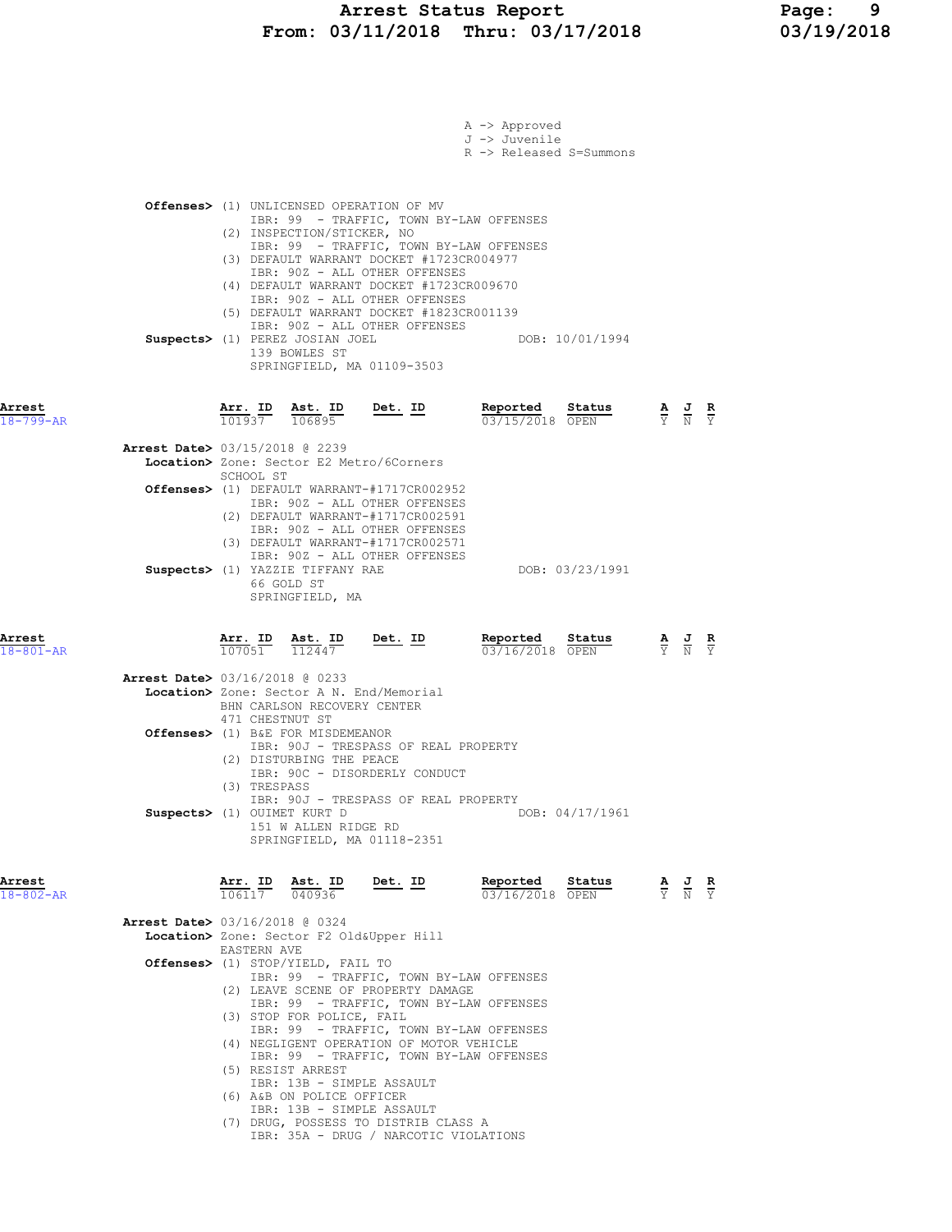### Arrest Status Report Page: 9 From: 03/11/2018 Thru: 03/17/2018 03/19/2018

|                           |                                                                                                                                                                                                                                                                                                                                                                                                                                             |                                       | A -> Approved<br>J -> Juvenile<br>R -> Released S=Summons |                                                                                                       |  |
|---------------------------|---------------------------------------------------------------------------------------------------------------------------------------------------------------------------------------------------------------------------------------------------------------------------------------------------------------------------------------------------------------------------------------------------------------------------------------------|---------------------------------------|-----------------------------------------------------------|-------------------------------------------------------------------------------------------------------|--|
|                           | Offenses> (1) UNLICENSED OPERATION OF MV<br>IBR: 99 - TRAFFIC, TOWN BY-LAW OFFENSES<br>(2) INSPECTION/STICKER, NO<br>IBR: 99 - TRAFFIC, TOWN BY-LAW OFFENSES<br>(3) DEFAULT WARRANT DOCKET #1723CR004977<br>IBR: 90Z - ALL OTHER OFFENSES                                                                                                                                                                                                   |                                       |                                                           |                                                                                                       |  |
|                           | (4) DEFAULT WARRANT DOCKET #1723CR009670<br>IBR: 90Z - ALL OTHER OFFENSES<br>(5) DEFAULT WARRANT DOCKET #1823CR001139<br>IBR: 90Z - ALL OTHER OFFENSES<br>Suspects> (1) PEREZ JOSIAN JOEL<br>139 BOWLES ST<br>SPRINGFIELD, MA 01109-3503                                                                                                                                                                                                    |                                       | DOB: 10/01/1994                                           |                                                                                                       |  |
| Arrest<br>$18 - 799 - AR$ | $\frac{\texttt{Arr. ID}}{101937}$ $\frac{\texttt{ Ast. ID}}{106895}$                                                                                                                                                                                                                                                                                                                                                                        | Det. ID                               | Reported<br>Status<br>03/15/2018 OPEN                     | $\frac{\mathbf{A}}{\mathbf{Y}}$ $\frac{\mathbf{J}}{\mathbf{N}}$ $\frac{\mathbf{R}}{\mathbf{Y}}$       |  |
|                           | <b>Arrest Date&gt; 03/15/2018 @ 2239</b><br>Location> Zone: Sector E2 Metro/6Corners                                                                                                                                                                                                                                                                                                                                                        |                                       |                                                           |                                                                                                       |  |
|                           | SCHOOL ST<br>Offenses> (1) DEFAULT WARRANT-#1717CR002952<br>IBR: 90Z - ALL OTHER OFFENSES<br>(2) DEFAULT WARRANT-#1717CR002591                                                                                                                                                                                                                                                                                                              |                                       |                                                           |                                                                                                       |  |
|                           | IBR: 90Z - ALL OTHER OFFENSES<br>(3) DEFAULT WARRANT-#1717CR002571<br>IBR: 90Z - ALL OTHER OFFENSES<br>Suspects> (1) YAZZIE TIFFANY RAE<br>66 GOLD ST<br>SPRINGFIELD, MA                                                                                                                                                                                                                                                                    |                                       | DOB: 03/23/1991                                           |                                                                                                       |  |
| Arrest<br>$18 - 801 - AR$ | Arr. ID<br>Ast. ID<br>107051<br>112447                                                                                                                                                                                                                                                                                                                                                                                                      | <u>Det. ID</u>                        | Reported<br>Status<br>03/16/2018 OPEN                     | $\frac{\mathbf{A}}{\overline{Y}}$ $\frac{\mathbf{J}}{\overline{N}}$ $\frac{\mathbf{R}}{\overline{Y}}$ |  |
|                           | <b>Arrest Date&gt; 03/16/2018 @ 0233</b><br>Location> Zone: Sector A N. End/Memorial<br>BHN CARLSON RECOVERY CENTER<br>471 CHESTNUT ST                                                                                                                                                                                                                                                                                                      |                                       |                                                           |                                                                                                       |  |
|                           | Offenses> (1) B&E FOR MISDEMEANOR<br>IBR: 90J - TRESPASS OF REAL PROPERTY<br>(2) DISTURBING THE PEACE<br>IBR: 90C - DISORDERLY CONDUCT<br>(3) TRESPASS<br>IBR: 90J - TRESPASS OF REAL PROPERTY<br>Suspects> (1) OUIMET KURT D<br>151 W ALLEN RIDGE RD<br>SPRINGFIELD, MA 01118-2351                                                                                                                                                         |                                       | DOB: 04/17/1961                                           |                                                                                                       |  |
| Arrest<br>$18 - 802 - AR$ | Arr. ID Ast. ID<br>$\overline{106117}$ $\overline{040936}$                                                                                                                                                                                                                                                                                                                                                                                  | <u>Det. ID</u>                        | Reported<br>Status<br>$\frac{5.28888}{03/16/2018}$ OPEN   | $\frac{\mathbf{A}}{\mathbf{Y}}$ $\frac{\mathbf{J}}{\mathbf{N}}$ $\frac{\mathbf{R}}{\mathbf{Y}}$       |  |
|                           | <b>Arrest Date&gt;</b> 03/16/2018 @ 0324<br>Location> Zone: Sector F2 Old&Upper Hill                                                                                                                                                                                                                                                                                                                                                        |                                       |                                                           |                                                                                                       |  |
|                           | <b>EASTERN AVE</b><br><b>Offenses&gt;</b> (1) STOP/YIELD, FAIL TO                                                                                                                                                                                                                                                                                                                                                                           |                                       |                                                           |                                                                                                       |  |
|                           | IBR: 99 - TRAFFIC, TOWN BY-LAW OFFENSES<br>(2) LEAVE SCENE OF PROPERTY DAMAGE<br>IBR: 99 - TRAFFIC, TOWN BY-LAW OFFENSES<br>(3) STOP FOR POLICE, FAIL<br>IBR: 99 - TRAFFIC, TOWN BY-LAW OFFENSES<br>(4) NEGLIGENT OPERATION OF MOTOR VEHICLE<br>IBR: 99 - TRAFFIC, TOWN BY-LAW OFFENSES<br>(5) RESIST ARREST<br>IBR: 13B - SIMPLE ASSAULT<br>(6) A&B ON POLICE OFFICER<br>IBR: 13B - SIMPLE ASSAULT<br>(7) DRUG, POSSESS TO DISTRIB CLASS A | IBR: 35A - DRUG / NARCOTIC VIOLATIONS |                                                           |                                                                                                       |  |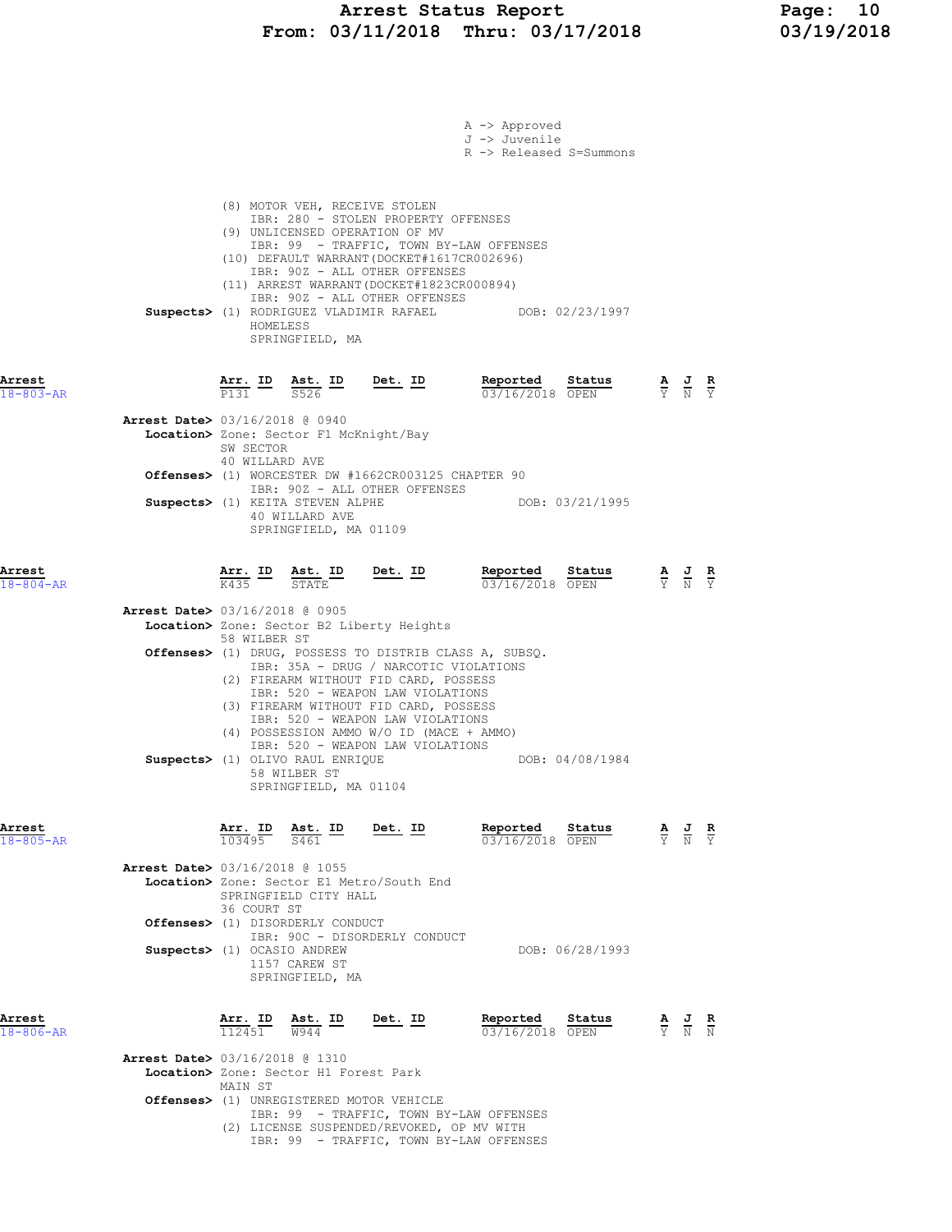|                                                                       |                               |                                                                             |                                                                                                                                                                                                                                                                                                                                           | A -> Approved<br>J -> Juvenile<br>R -> Released S=Summons |                 |                                                                                                       |  |
|-----------------------------------------------------------------------|-------------------------------|-----------------------------------------------------------------------------|-------------------------------------------------------------------------------------------------------------------------------------------------------------------------------------------------------------------------------------------------------------------------------------------------------------------------------------------|-----------------------------------------------------------|-----------------|-------------------------------------------------------------------------------------------------------|--|
|                                                                       | HOMELESS                      | (8) MOTOR VEH, RECEIVE STOLEN<br>SPRINGFIELD, MA                            | IBR: 280 - STOLEN PROPERTY OFFENSES<br>(9) UNLICENSED OPERATION OF MV<br>IBR: 99 - TRAFFIC, TOWN BY-LAW OFFENSES<br>(10) DEFAULT WARRANT (DOCKET#1617CR002696)<br>IBR: 90Z - ALL OTHER OFFENSES<br>(11) ARREST WARRANT (DOCKET#1823CR000894)<br>IBR: 90Z - ALL OTHER OFFENSES<br>Suspects> (1) RODRIGUEZ VLADIMIR RAFAEL DOB: 02/23/1997  |                                                           |                 |                                                                                                       |  |
| Arrest<br>$18 - 803 - AR$                                             |                               |                                                                             | $\frac{\texttt{Arr.}}{\texttt{P131}}$ $\frac{\texttt{Est.}}{\texttt{S526}}$ $\frac{\texttt{ID}}{\texttt{D}}$ $\frac{\texttt{Det.}}{\texttt{D}}$ $\frac{\texttt{I}}{\texttt{D}}$ $\frac{\texttt{Reported}}{\texttt{O3}/\texttt{16}/\texttt{2018}}$ $\frac{\texttt{Status}}{\texttt{OPEN}}$                                                 | 03/16/2018 OPEN                                           |                 | $\frac{\mathbf{A}}{\mathbf{Y}}$ $\frac{\mathbf{J}}{\mathbf{N}}$ $\frac{\mathbf{R}}{\mathbf{Y}}$       |  |
| Arrest Date> 03/16/2018 @ 0940                                        | SW SECTOR<br>40 WILLARD AVE   | Location> Zone: Sector F1 McKnight/Bay                                      |                                                                                                                                                                                                                                                                                                                                           |                                                           |                 |                                                                                                       |  |
|                                                                       |                               |                                                                             | <b>Offenses&gt;</b> (1) WORCESTER DW #1662CR003125 CHAPTER 90<br>IBR: 90Z - ALL OTHER OFFENSES                                                                                                                                                                                                                                            |                                                           |                 |                                                                                                       |  |
|                                                                       |                               | Suspects> (1) KEITA STEVEN ALPHE<br>40 WILLARD AVE<br>SPRINGFIELD, MA 01109 |                                                                                                                                                                                                                                                                                                                                           | DOB: 03/21/1995                                           |                 |                                                                                                       |  |
| Arrest<br>$18 - 804 - AR$                                             |                               | $\frac{\texttt{Arr.}}{\text{K435}}$ $\frac{\texttt{ID}}{\texttt{STATE}}$    | <u>Det.</u> ID                                                                                                                                                                                                                                                                                                                            | Reported<br>03/16/2018 OPEN                               | Status          | $\frac{\mathbf{A}}{\overline{Y}}$ $\frac{\mathbf{J}}{\overline{N}}$ $\frac{\mathbf{R}}{\overline{Y}}$ |  |
| <b>Arrest Date&gt;</b> 03/16/2018 @ 0905                              | 58 WILBER ST                  |                                                                             | Location> Zone: Sector B2 Liberty Heights                                                                                                                                                                                                                                                                                                 |                                                           |                 |                                                                                                       |  |
|                                                                       |                               | Suspects> (1) OLIVO RAUL ENRIQUE<br>58 WILBER ST<br>SPRINGFIELD, MA 01104   | Offenses> (1) DRUG, POSSESS TO DISTRIB CLASS A, SUBSQ.<br>IBR: 35A - DRUG / NARCOTIC VIOLATIONS<br>(2) FIREARM WITHOUT FID CARD, POSSESS<br>IBR: 520 - WEAPON LAW VIOLATIONS<br>(3) FIREARM WITHOUT FID CARD, POSSESS<br>IBR: 520 - WEAPON LAW VIOLATIONS<br>(4) POSSESSION AMMO W/O ID (MACE + AMMO)<br>IBR: 520 - WEAPON LAW VIOLATIONS |                                                           | DOB: 04/08/1984 |                                                                                                       |  |
| Arrest<br>$18 - 805 - AR$                                             | Arr. ID<br>103495             | Ast. ID<br>S461                                                             | Det. ID                                                                                                                                                                                                                                                                                                                                   | Reported<br>03/16/2018 OPEN                               | Status          | $\frac{\mathbf{A}}{\mathbf{Y}}$ $\frac{\mathbf{J}}{\mathbf{N}}$ $\frac{\mathbf{R}}{\mathbf{Y}}$       |  |
| <b>Arrest Date&gt; 03/16/2018 @ 1055</b>                              | 36 COURT ST                   | SPRINGFIELD CITY HALL<br>Offenses> (1) DISORDERLY CONDUCT                   | Location> Zone: Sector E1 Metro/South End                                                                                                                                                                                                                                                                                                 |                                                           |                 |                                                                                                       |  |
| Suspects> (1) OCASIO ANDREW                                           |                               | 1157 CAREW ST<br>SPRINGFIELD, MA                                            | IBR: 90C - DISORDERLY CONDUCT                                                                                                                                                                                                                                                                                                             |                                                           | DOB: 06/28/1993 |                                                                                                       |  |
| Arrest<br>$18 - 806 - AR$<br><b>Arrest Date&gt; 03/16/2018 @ 1310</b> | Arr. ID<br>$\frac{112451}{ }$ | Ast. ID<br>W944<br>Location> Zone: Sector H1 Forest Park                    | Det. ID                                                                                                                                                                                                                                                                                                                                   | Reported<br>03/16/2018 OPEN                               | Status          | $\frac{\mathbf{A}}{\mathbf{Y}}$ $\frac{\mathbf{J}}{\mathbf{N}}$ $\frac{\mathbf{R}}{\mathbf{N}}$       |  |
|                                                                       | MAIN ST                       |                                                                             | <b>Offenses&gt;</b> (1) UNREGISTERED MOTOR VEHICLE<br>IBR: 99 - TRAFFIC, TOWN BY-LAW OFFENSES<br>(2) LICENSE SUSPENDED/REVOKED, OP MV WITH<br>IBR: 99 - TRAFFIC, TOWN BY-LAW OFFENSES                                                                                                                                                     |                                                           |                 |                                                                                                       |  |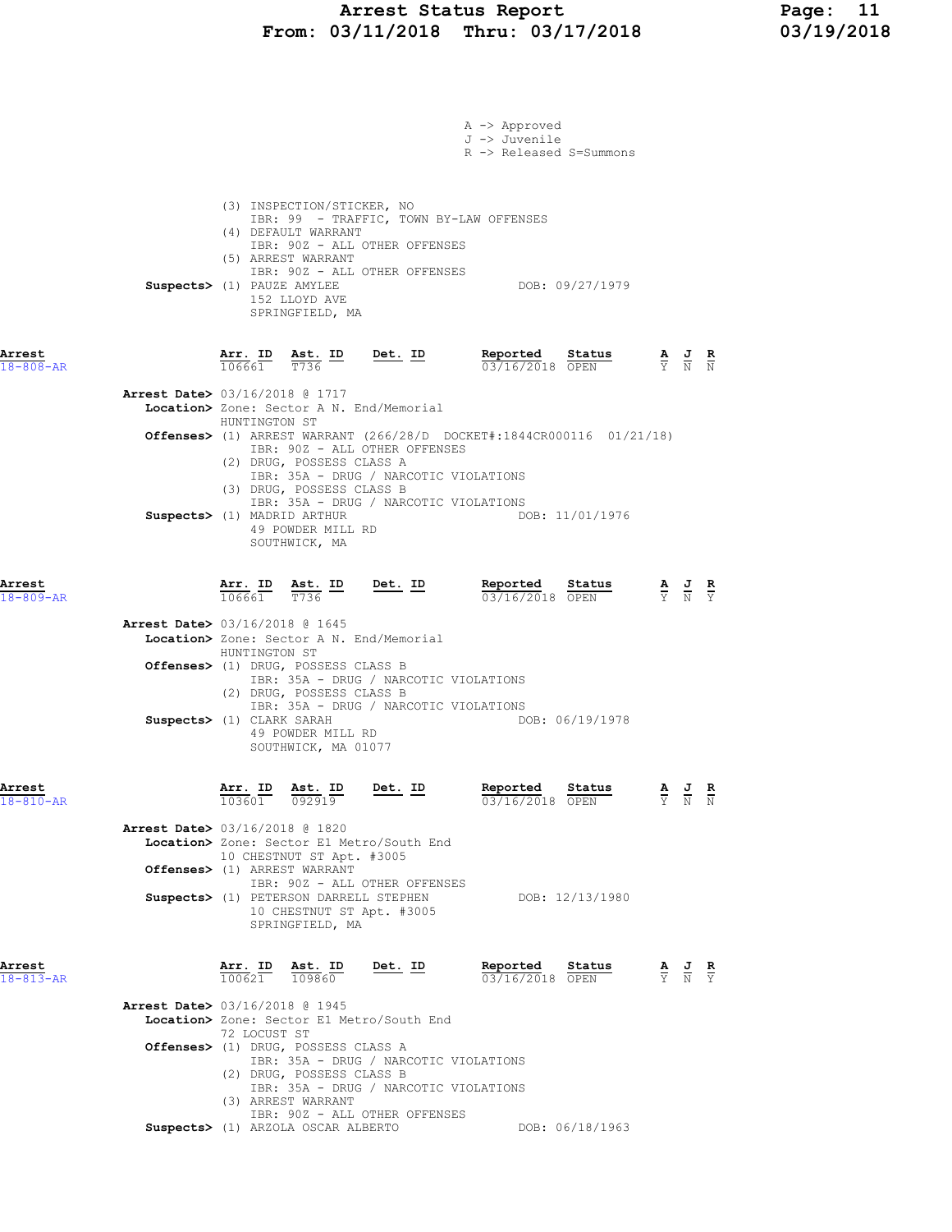### Arrest Status Report Page: 11 From: 03/11/2018 Thru: 03/17/2018 03/19/2018

|                                          |                                                                                                       |                                          |                                                                                                                                                             | A -> Approved<br>J -> Juvenile<br>R -> Released S=Summons |                 |                                                                                                 |                                                                                                 |  |
|------------------------------------------|-------------------------------------------------------------------------------------------------------|------------------------------------------|-------------------------------------------------------------------------------------------------------------------------------------------------------------|-----------------------------------------------------------|-----------------|-------------------------------------------------------------------------------------------------|-------------------------------------------------------------------------------------------------|--|
|                                          | (3) INSPECTION/STICKER, NO<br>(4) DEFAULT WARRANT<br>(5) ARREST WARRANT<br>Suspects> (1) PAUZE AMYLEE | 152 LLOYD AVE<br>SPRINGFIELD, MA         | IBR: 99 - TRAFFIC, TOWN BY-LAW OFFENSES<br>IBR: 90Z - ALL OTHER OFFENSES<br>IBR: 902 - ALL OTHER OFFENSES                                                   |                                                           | DOB: 09/27/1979 |                                                                                                 |                                                                                                 |  |
| Arrest<br>$18 - 808 - AR$                |                                                                                                       |                                          | $\frac{\texttt{Arr. ID}}{106661}$ $\frac{\texttt{ Ast. ID}}{T736}$ $\frac{\texttt{Det. ID}}{T736}$                                                          | Reported Status<br>03/16/2018 OPEN                        |                 |                                                                                                 | $\frac{\mathbf{A}}{\mathbf{Y}}$ $\frac{\mathbf{J}}{\mathbf{N}}$ $\frac{\mathbf{R}}{\mathbf{N}}$ |  |
| <b>Arrest Date&gt;</b> 03/16/2018 @ 1717 |                                                                                                       |                                          | Location> Zone: Sector A N. End/Memorial                                                                                                                    |                                                           |                 |                                                                                                 |                                                                                                 |  |
|                                          | HUNTINGTON ST<br>(2) DRUG, POSSESS CLASS A                                                            |                                          | <b>Offenses&gt;</b> (1) ARREST WARRANT $(266/28/D$ DOCKET#:1844CR000116 01/21/18)<br>IBR: 90Z - ALL OTHER OFFENSES<br>IBR: 35A - DRUG / NARCOTIC VIOLATIONS |                                                           |                 |                                                                                                 |                                                                                                 |  |
|                                          | (3) DRUG, POSSESS CLASS B<br>Suspects> (1) MADRID ARTHUR                                              | 49 POWDER MILL RD<br>SOUTHWICK, MA       | IBR: 35A - DRUG / NARCOTIC VIOLATIONS                                                                                                                       |                                                           | DOB: 11/01/1976 |                                                                                                 |                                                                                                 |  |
| Arrest<br>$18 - 809 - AR$                |                                                                                                       |                                          | $\frac{\texttt{Arr. ID}}{106661}$ $\frac{\texttt{ Ast. ID}}{T736}$ $\frac{\texttt{Det. ID}}{T736}$                                                          | Reported<br>03/16/2018 OPEN                               | Status          | $\frac{\mathbf{A}}{\mathbf{Y}}$ $\frac{\mathbf{J}}{\mathbf{N}}$ $\frac{\mathbf{R}}{\mathbf{Y}}$ |                                                                                                 |  |
| Arrest Date> 03/16/2018 @ 1645           | HUNTINGTON ST<br>Offenses> (1) DRUG, POSSESS CLASS B<br>(2) DRUG, POSSESS CLASS B                     |                                          | Location> Zone: Sector A N. End/Memorial<br>IBR: 35A - DRUG / NARCOTIC VIOLATIONS                                                                           |                                                           |                 |                                                                                                 |                                                                                                 |  |
|                                          | Suspects> (1) CLARK SARAH                                                                             | 49 POWDER MILL RD<br>SOUTHWICK, MA 01077 | IBR: 35A - DRUG / NARCOTIC VIOLATIONS                                                                                                                       |                                                           | DOB: 06/19/1978 |                                                                                                 |                                                                                                 |  |
| Arrest<br>$18 - 810 - AR$                | Arr. ID Ast. ID<br>103601                                                                             | 092919                                   | Det. ID                                                                                                                                                     | Reported<br>03/16/2018 OPEN                               | Status          |                                                                                                 | $\frac{\mathbf{A}}{\mathbf{Y}}$ $\frac{\mathbf{J}}{\mathbf{N}}$ $\frac{\mathbf{R}}{\mathbf{N}}$ |  |
| <b>Arrest Date&gt;</b> 03/16/2018 @ 1820 | 10 CHESTNUT ST Apt. #3005<br>Offenses> (1) ARREST WARRANT                                             |                                          | Location> Zone: Sector E1 Metro/South End<br>IBR: 90Z - ALL OTHER OFFENSES                                                                                  |                                                           |                 |                                                                                                 |                                                                                                 |  |
|                                          | Suspects> (1) PETERSON DARRELL STEPHEN                                                                | SPRINGFIELD, MA                          | 10 CHESTNUT ST Apt. #3005                                                                                                                                   |                                                           | DOB: 12/13/1980 |                                                                                                 |                                                                                                 |  |
| Arrest<br>$18 - 813 - AR$                | Arr. ID Ast. ID<br>100621                                                                             | 109860                                   | Det. ID                                                                                                                                                     | Reported<br>03/16/2018 OPEN                               | Status          |                                                                                                 | $\frac{\mathbf{A}}{\mathbf{Y}}$ $\frac{\mathbf{J}}{\mathbf{N}}$ $\frac{\mathbf{R}}{\mathbf{Y}}$ |  |
| <b>Arrest Date&gt;</b> 03/16/2018 @ 1945 | 72 LOCUST ST<br>Offenses> (1) DRUG, POSSESS CLASS A                                                   |                                          | Location> Zone: Sector E1 Metro/South End                                                                                                                   |                                                           |                 |                                                                                                 |                                                                                                 |  |
|                                          | (2) DRUG, POSSESS CLASS B<br>(3) ARREST WARRANT                                                       |                                          | IBR: 35A - DRUG / NARCOTIC VIOLATIONS<br>IBR: 35A - DRUG / NARCOTIC VIOLATIONS<br>IBR: 90Z - ALL OTHER OFFENSES                                             |                                                           |                 |                                                                                                 |                                                                                                 |  |
|                                          | Suspects> (1) ARZOLA OSCAR ALBERTO                                                                    |                                          |                                                                                                                                                             |                                                           | DOB: 06/18/1963 |                                                                                                 |                                                                                                 |  |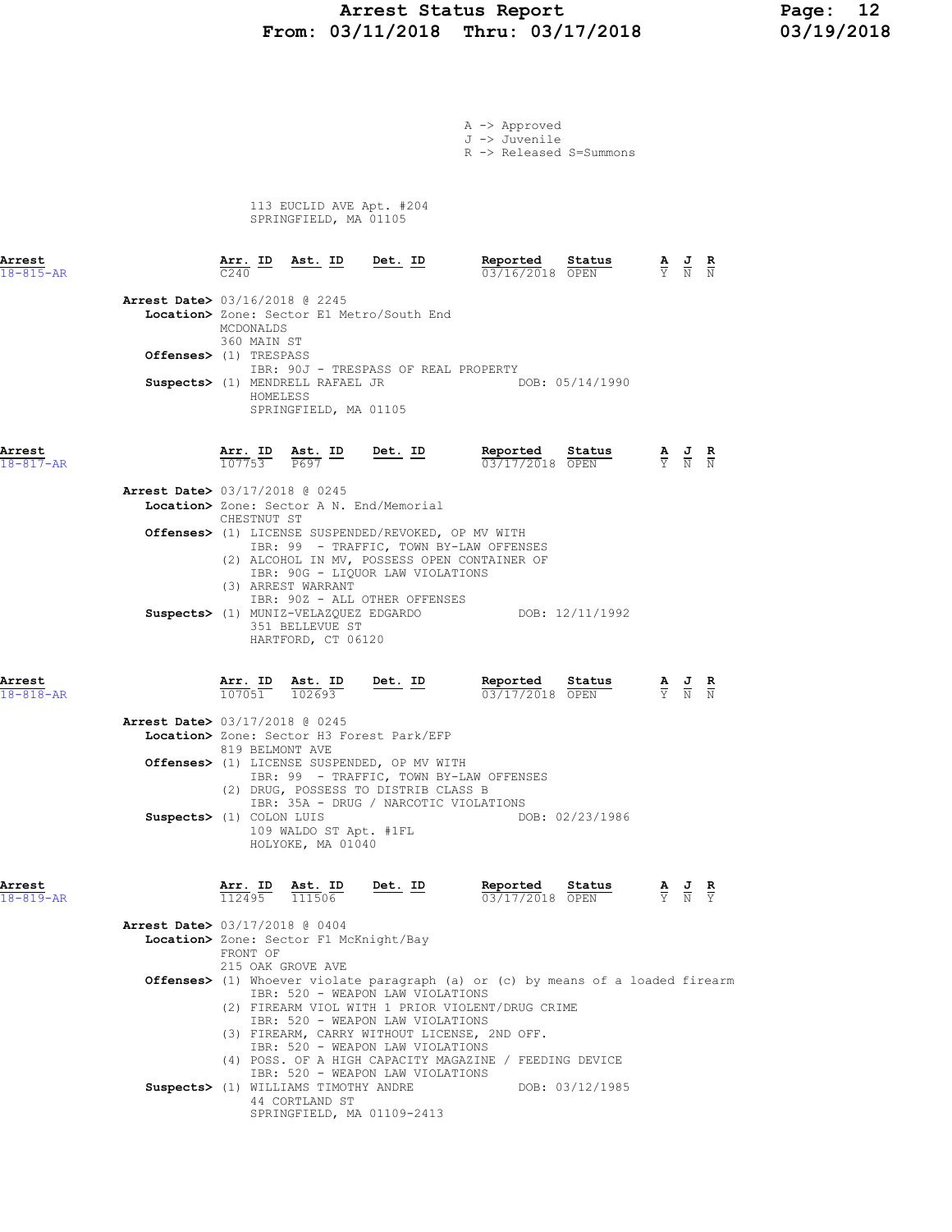#### Arrest Status Report 12<br>
13/11/2018 Thru: 03/17/2018 13/19/2018 From: 03/11/2018 Thru: 03/17/2018

A -> Approved J -> Juvenile

R -> Released S=Summons

 113 EUCLID AVE Apt. #204 SPRINGFIELD, MA 01105

| Arrest<br>$18 - 815 - AR$ |                          | Arr. ID                                                                                                                                                                                                                                                                                                                                                                                       |                          | Ast. ID                                                                                                         | <u>Det. ID</u> |                                                                                         | Reported<br>03/16/2018 OPEN                                                             | Status          |  |                                                                                                 |                               |
|---------------------------|--------------------------|-----------------------------------------------------------------------------------------------------------------------------------------------------------------------------------------------------------------------------------------------------------------------------------------------------------------------------------------------------------------------------------------------|--------------------------|-----------------------------------------------------------------------------------------------------------------|----------------|-----------------------------------------------------------------------------------------|-----------------------------------------------------------------------------------------|-----------------|--|-------------------------------------------------------------------------------------------------|-------------------------------|
|                           |                          | MCDONALDS                                                                                                                                                                                                                                                                                                                                                                                     | 360 MAIN ST              | Arrest Date> 03/16/2018 @ 2245<br>Location> Zone: Sector E1 Metro/South End                                     |                |                                                                                         |                                                                                         |                 |  |                                                                                                 |                               |
|                           | Offenses> (1) TRESPASS   |                                                                                                                                                                                                                                                                                                                                                                                               |                          |                                                                                                                 |                | IBR: 90J - TRESPASS OF REAL PROPERTY                                                    |                                                                                         |                 |  |                                                                                                 |                               |
|                           |                          |                                                                                                                                                                                                                                                                                                                                                                                               | HOMELESS                 | Suspects> (1) MENDRELL RAFAEL JR<br>SPRINGFIELD, MA 01105                                                       |                |                                                                                         |                                                                                         | DOB: 05/14/1990 |  |                                                                                                 |                               |
| Arrest<br>$18 - 817 - AR$ |                          |                                                                                                                                                                                                                                                                                                                                                                                               |                          | Arr. ID Ast. ID<br>107753 P697                                                                                  | $Det. ID$      |                                                                                         | Reported<br>03/17/2018 OPEN                                                             | Status          |  | $\frac{\mathbf{A}}{\mathbf{Y}}$ $\frac{\mathbf{J}}{\mathbf{N}}$ $\frac{\mathbf{R}}{\mathbf{N}}$ |                               |
|                           |                          | CHESTNUT ST                                                                                                                                                                                                                                                                                                                                                                                   |                          | <b>Arrest Date&gt;</b> 03/17/2018 @ 0245<br>Location> Zone: Sector A N. End/Memorial                            |                |                                                                                         |                                                                                         |                 |  |                                                                                                 |                               |
|                           |                          |                                                                                                                                                                                                                                                                                                                                                                                               |                          | (3) ARREST WARRANT                                                                                              |                | Offenses> (1) LICENSE SUSPENDED/REVOKED, OP MV WITH<br>IBR: 90G - LIQUOR LAW VIOLATIONS | IBR: 99 - TRAFFIC, TOWN BY-LAW OFFENSES<br>(2) ALCOHOL IN MV, POSSESS OPEN CONTAINER OF |                 |  |                                                                                                 |                               |
|                           |                          |                                                                                                                                                                                                                                                                                                                                                                                               |                          | IBR: 90Z - ALL OTHER OFFENSES<br>Suspects> (1) MUNIZ-VELAZQUEZ EDGARDO<br>351 BELLEVUE ST<br>HARTFORD, CT 06120 |                |                                                                                         |                                                                                         | DOB: 12/11/1992 |  |                                                                                                 |                               |
| Arrest<br>$18 - 818 - AR$ |                          |                                                                                                                                                                                                                                                                                                                                                                                               | <b>Arr. ID</b><br>107051 | $\frac{\text{Ast.}}{102693}$                                                                                    | $Det. ID$      |                                                                                         | Reported<br>03/17/2018 OPEN                                                             | Status          |  | $\frac{A}{Y}$ $\frac{C}{N}$                                                                     |                               |
|                           |                          |                                                                                                                                                                                                                                                                                                                                                                                               |                          | Arrest Date> 03/17/2018 @ 0245<br>Location> Zone: Sector H3 Forest Park/EFP<br>819 BELMONT AVE                  |                |                                                                                         |                                                                                         |                 |  |                                                                                                 |                               |
|                           |                          |                                                                                                                                                                                                                                                                                                                                                                                               |                          | <b>Offenses&gt;</b> (1) LICENSE SUSPENDED, OP MV WITH                                                           |                | (2) DRUG, POSSESS TO DISTRIB CLASS B<br>IBR: 35A - DRUG / NARCOTIC VIOLATIONS           | IBR: 99 - TRAFFIC, TOWN BY-LAW OFFENSES                                                 |                 |  |                                                                                                 |                               |
|                           | Suspects> (1) COLON LUIS |                                                                                                                                                                                                                                                                                                                                                                                               |                          | 109 WALDO ST Apt. #1FL<br>HOLYOKE, MA 01040                                                                     |                |                                                                                         |                                                                                         | DOB: 02/23/1986 |  |                                                                                                 |                               |
| Arrest<br>$18 - 819 - AR$ |                          | <u>Arr. ID</u><br>112495                                                                                                                                                                                                                                                                                                                                                                      |                          | Ast. ID<br>$\frac{111506}$                                                                                      | Det. ID        |                                                                                         | Reported<br>03/17/2018 OPEN                                                             | status          |  | $\frac{1}{N}$                                                                                   | $rac{\mathbf{R}}{\mathbf{Y}}$ |
|                           |                          | <b>Arrest Date&gt; 03/17/2018 @ 0404</b><br>Location> Zone: Sector F1 McKnight/Bay<br>FRONT OF<br>215 OAK GROVE AVE                                                                                                                                                                                                                                                                           |                          |                                                                                                                 |                |                                                                                         |                                                                                         |                 |  |                                                                                                 |                               |
|                           |                          | Offenses> (1) Whoever violate paragraph (a) or (c) by means of a loaded firearm<br>IBR: 520 - WEAPON LAW VIOLATIONS<br>(2) FIREARM VIOL WITH 1 PRIOR VIOLENT/DRUG CRIME<br>IBR: 520 - WEAPON LAW VIOLATIONS<br>(3) FIREARM, CARRY WITHOUT LICENSE, 2ND OFF.<br>IBR: 520 - WEAPON LAW VIOLATIONS<br>(4) POSS. OF A HIGH CAPACITY MAGAZINE / FEEDING DEVICE<br>IBR: 520 - WEAPON LAW VIOLATIONS |                          |                                                                                                                 |                |                                                                                         |                                                                                         |                 |  |                                                                                                 |                               |
|                           |                          |                                                                                                                                                                                                                                                                                                                                                                                               |                          | Suspects> (1) WILLIAMS TIMOTHY ANDRE<br>44 CORTLAND ST<br>SPRINGFIELD, MA 01109-2413                            |                |                                                                                         |                                                                                         | DOB: 03/12/1985 |  |                                                                                                 |                               |